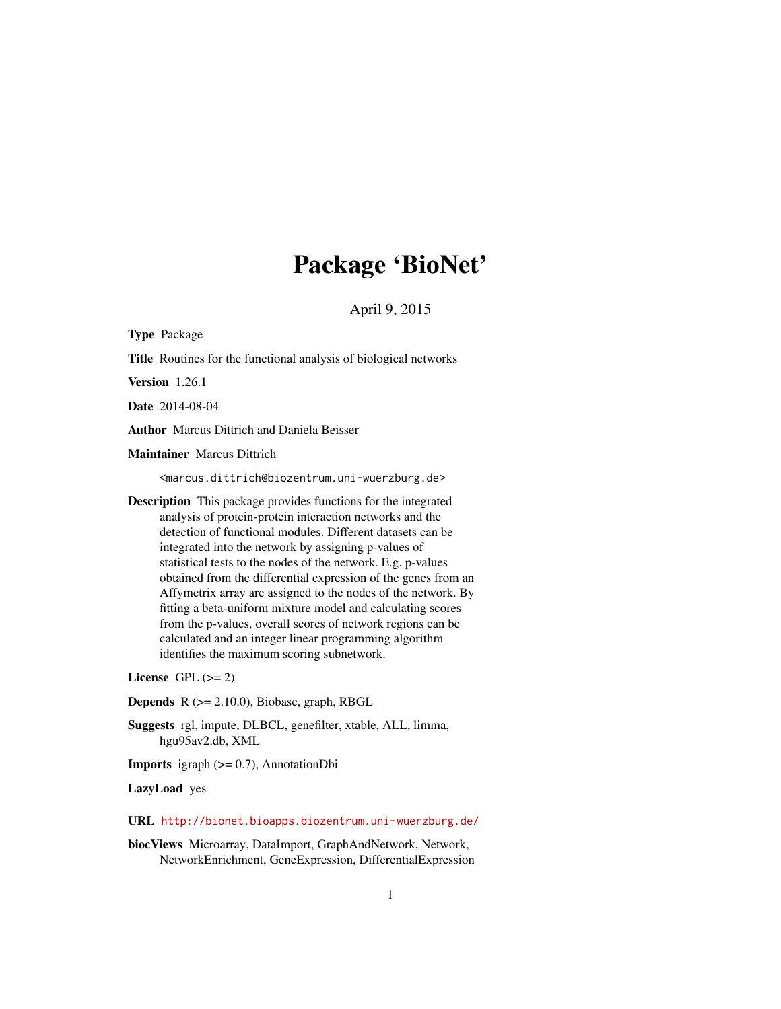## Package 'BioNet'

April 9, 2015

Type Package Title Routines for the functional analysis of biological networks Version 1.26.1 Date 2014-08-04 Author Marcus Dittrich and Daniela Beisser Maintainer Marcus Dittrich <marcus.dittrich@biozentrum.uni-wuerzburg.de> Description This package provides functions for the integrated analysis of protein-protein interaction networks and the detection of functional modules. Different datasets can be integrated into the network by assigning p-values of statistical tests to the nodes of the network. E.g. p-values obtained from the differential expression of the genes from an Affymetrix array are assigned to the nodes of the network. By fitting a beta-uniform mixture model and calculating scores from the p-values, overall scores of network regions can be calculated and an integer linear programming algorithm identifies the maximum scoring subnetwork.

License GPL  $(>= 2)$ 

**Depends**  $R$  ( $>= 2.10.0$ ), Biobase, graph, RBGL

- Suggests rgl, impute, DLBCL, genefilter, xtable, ALL, limma, hgu95av2.db, XML
- **Imports** igraph  $(>= 0.7)$ , AnnotationDbi

LazyLoad yes

URL <http://bionet.bioapps.biozentrum.uni-wuerzburg.de/>

biocViews Microarray, DataImport, GraphAndNetwork, Network, NetworkEnrichment, GeneExpression, DifferentialExpression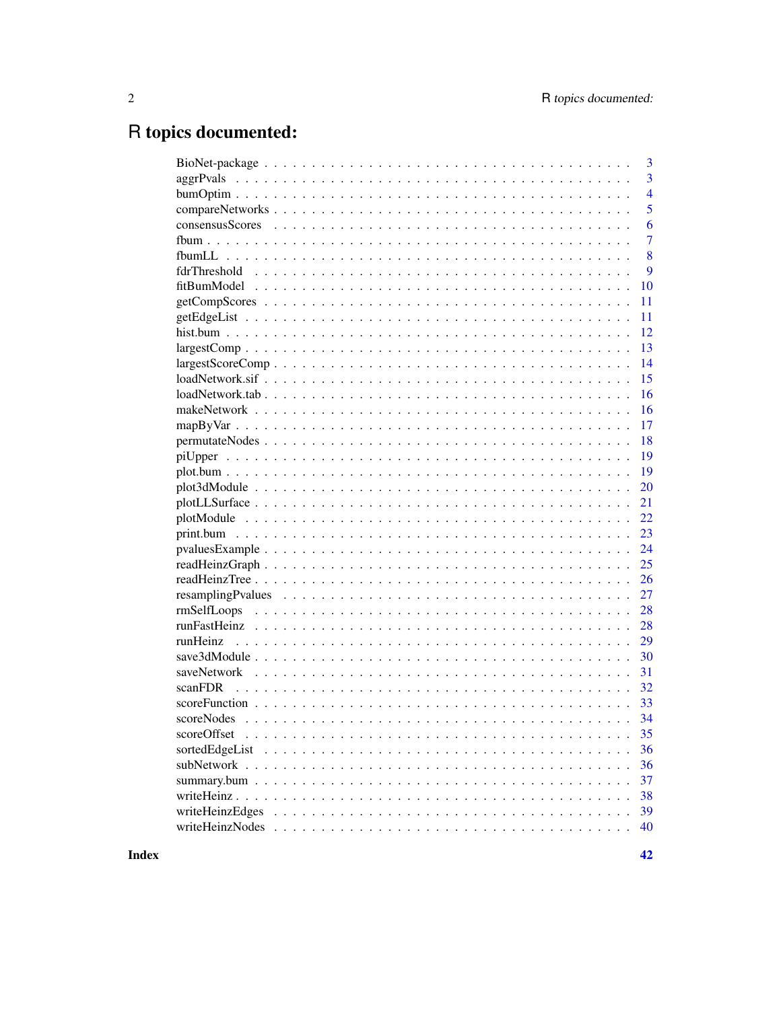## R topics documented:

|                 | 3              |
|-----------------|----------------|
|                 | 3              |
|                 | $\overline{4}$ |
|                 | 5              |
|                 | 6              |
|                 | $\overline{7}$ |
|                 | 8              |
|                 | 9              |
|                 | 10             |
|                 | 11             |
|                 | 11             |
|                 | 12             |
|                 | 13             |
|                 | 14             |
|                 | 15             |
|                 | 16             |
|                 | 16             |
|                 | 17             |
|                 | 18             |
|                 | 19             |
|                 | 19             |
|                 | 20             |
|                 | 21             |
|                 | 22             |
|                 | 23             |
|                 | 24             |
|                 | 25             |
|                 | 26             |
|                 | 27             |
|                 | 28             |
|                 | 28             |
| runHeinz        | 29             |
|                 | 30             |
|                 | 31             |
| scanFDR         | 32             |
|                 | 33             |
|                 | 34             |
| scoreOffset     | 35             |
|                 | 36             |
|                 | 36             |
|                 | 37             |
|                 | 38             |
| writeHeinzEdges | 39             |
|                 | 40             |
|                 |                |

**Index**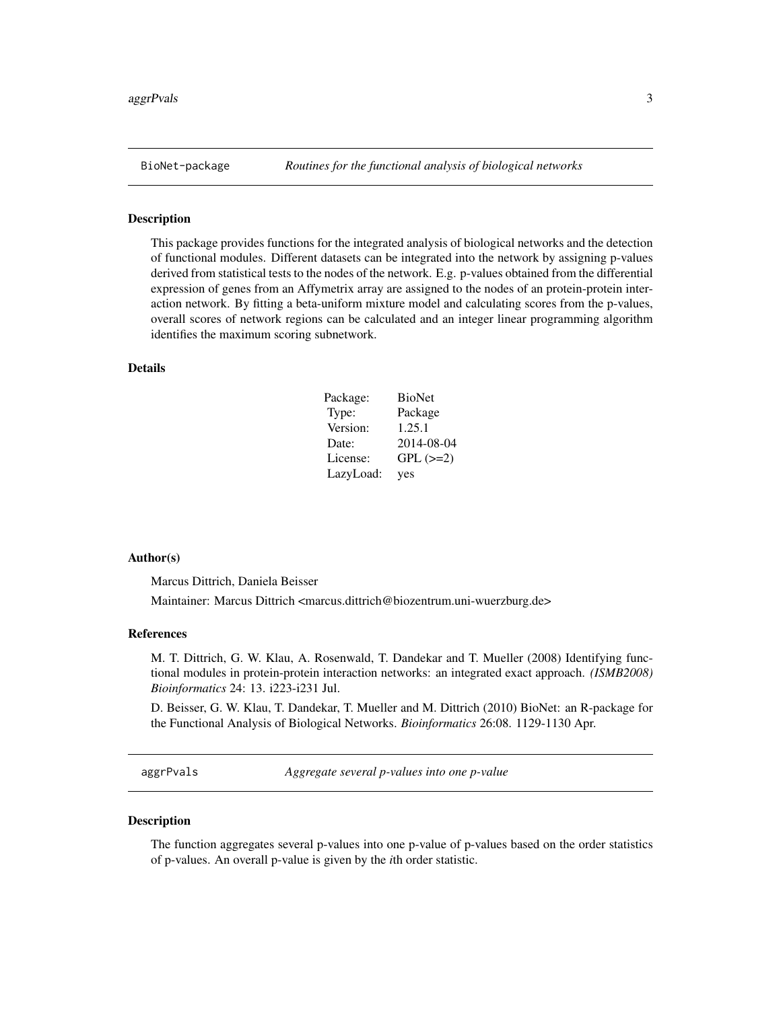<span id="page-2-0"></span>This package provides functions for the integrated analysis of biological networks and the detection of functional modules. Different datasets can be integrated into the network by assigning p-values derived from statistical tests to the nodes of the network. E.g. p-values obtained from the differential expression of genes from an Affymetrix array are assigned to the nodes of an protein-protein interaction network. By fitting a beta-uniform mixture model and calculating scores from the p-values, overall scores of network regions can be calculated and an integer linear programming algorithm identifies the maximum scoring subnetwork.

#### Details

| Package:  | <b>BioNet</b> |
|-----------|---------------|
| Type:     | Package       |
| Version:  | 1.25.1        |
| Date:     | 2014-08-04    |
| License:  | $GPL$ $(>=2)$ |
| LazyLoad: | yes           |

#### Author(s)

Marcus Dittrich, Daniela Beisser

Maintainer: Marcus Dittrich <marcus.dittrich@biozentrum.uni-wuerzburg.de>

#### References

M. T. Dittrich, G. W. Klau, A. Rosenwald, T. Dandekar and T. Mueller (2008) Identifying functional modules in protein-protein interaction networks: an integrated exact approach. *(ISMB2008) Bioinformatics* 24: 13. i223-i231 Jul.

D. Beisser, G. W. Klau, T. Dandekar, T. Mueller and M. Dittrich (2010) BioNet: an R-package for the Functional Analysis of Biological Networks. *Bioinformatics* 26:08. 1129-1130 Apr.

<span id="page-2-1"></span>aggrPvals *Aggregate several p-values into one p-value*

#### Description

The function aggregates several p-values into one p-value of p-values based on the order statistics of p-values. An overall p-value is given by the *i*th order statistic.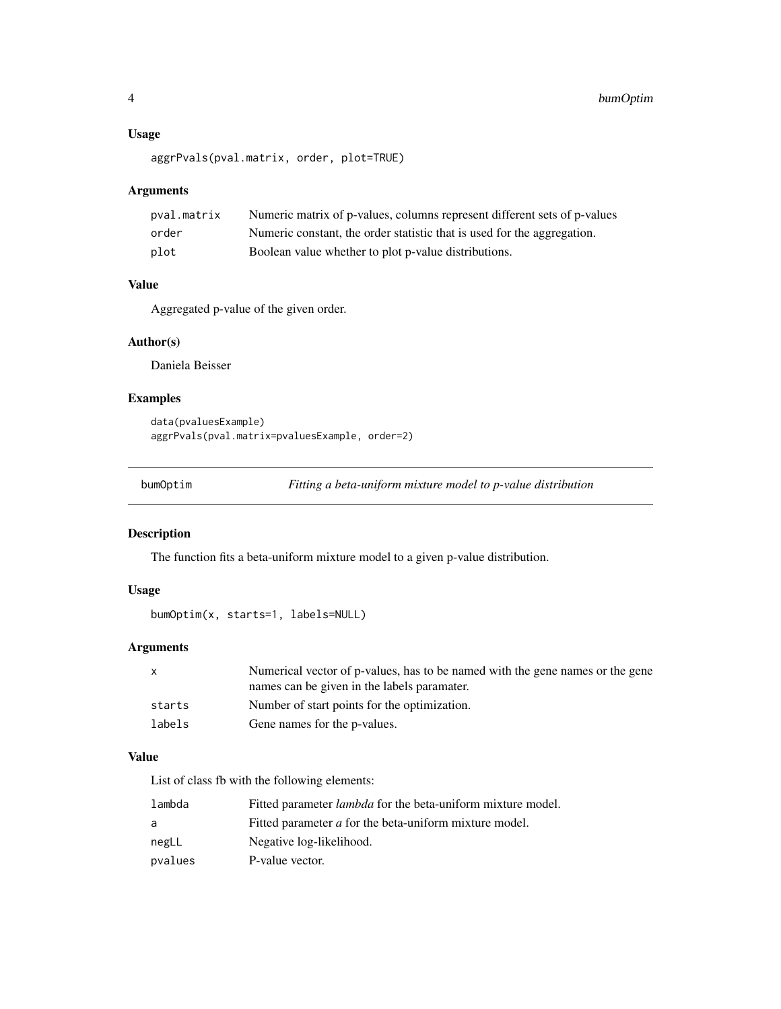### Usage

```
aggrPvals(pval.matrix, order, plot=TRUE)
```
### Arguments

| pval.matrix | Numeric matrix of p-values, columns represent different sets of p-values |
|-------------|--------------------------------------------------------------------------|
| order       | Numeric constant, the order statistic that is used for the aggregation.  |
| plot        | Boolean value whether to plot p-value distributions.                     |

#### Value

Aggregated p-value of the given order.

### Author(s)

Daniela Beisser

### Examples

```
data(pvaluesExample)
aggrPvals(pval.matrix=pvaluesExample, order=2)
```
<span id="page-3-1"></span>bumOptim *Fitting a beta-uniform mixture model to p-value distribution*

### Description

The function fits a beta-uniform mixture model to a given p-value distribution.

### Usage

```
bumOptim(x, starts=1, labels=NULL)
```
### Arguments

| $\mathsf{x}$ | Numerical vector of p-values, has to be named with the gene names or the gene |
|--------------|-------------------------------------------------------------------------------|
|              | names can be given in the labels paramater.                                   |
| starts       | Number of start points for the optimization.                                  |
| labels       | Gene names for the p-values.                                                  |

#### Value

List of class fb with the following elements:

| lambda  | Fitted parameter <i>lambda</i> for the beta-uniform mixture model. |
|---------|--------------------------------------------------------------------|
| a       | Fitted parameter a for the beta-uniform mixture model.             |
| negLL   | Negative log-likelihood.                                           |
| pvalues | P-value vector.                                                    |

<span id="page-3-0"></span>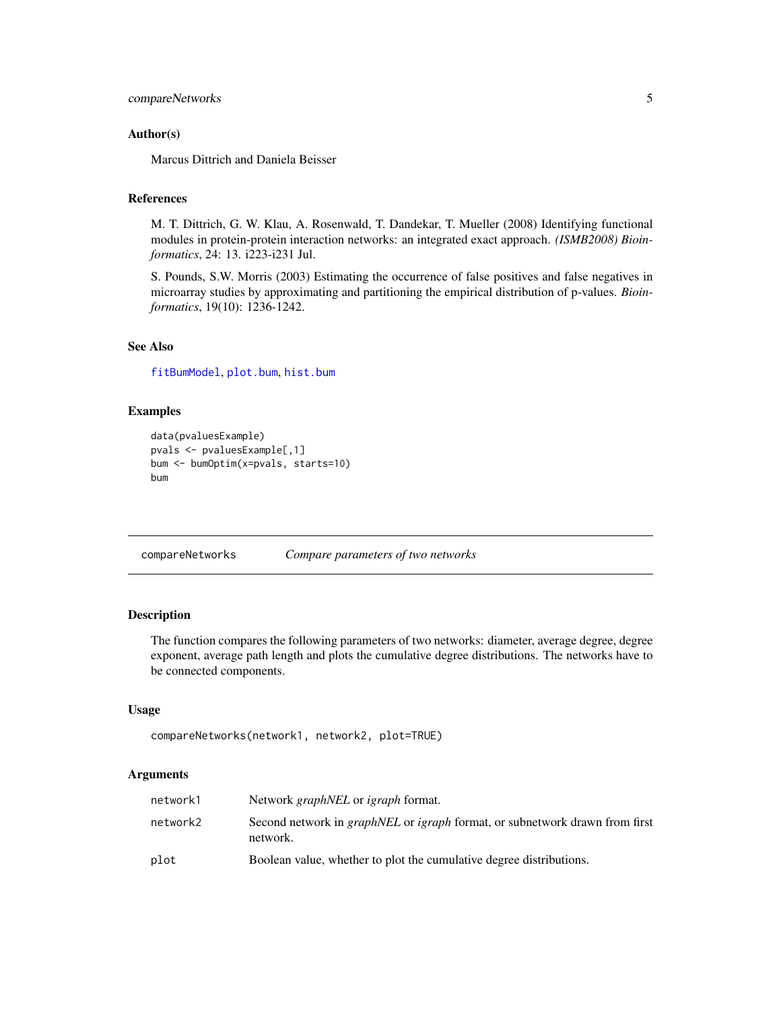### <span id="page-4-0"></span>compareNetworks 5

#### Author(s)

Marcus Dittrich and Daniela Beisser

### References

M. T. Dittrich, G. W. Klau, A. Rosenwald, T. Dandekar, T. Mueller (2008) Identifying functional modules in protein-protein interaction networks: an integrated exact approach. *(ISMB2008) Bioinformatics*, 24: 13. i223-i231 Jul.

S. Pounds, S.W. Morris (2003) Estimating the occurrence of false positives and false negatives in microarray studies by approximating and partitioning the empirical distribution of p-values. *Bioinformatics*, 19(10): 1236-1242.

### See Also

[fitBumModel](#page-9-1), [plot.bum](#page-18-1), [hist.bum](#page-11-1)

#### Examples

```
data(pvaluesExample)
pvals <- pvaluesExample[,1]
bum <- bumOptim(x=pvals, starts=10)
bum
```
compareNetworks *Compare parameters of two networks*

#### Description

The function compares the following parameters of two networks: diameter, average degree, degree exponent, average path length and plots the cumulative degree distributions. The networks have to be connected components.

#### Usage

```
compareNetworks(network1, network2, plot=TRUE)
```

| network1 | Network <i>graphNEL</i> or <i>igraph</i> format.                                                      |
|----------|-------------------------------------------------------------------------------------------------------|
| network2 | Second network in <i>graphNEL</i> or <i>igraph</i> format, or subnetwork drawn from first<br>network. |
| plot     | Boolean value, whether to plot the cumulative degree distributions.                                   |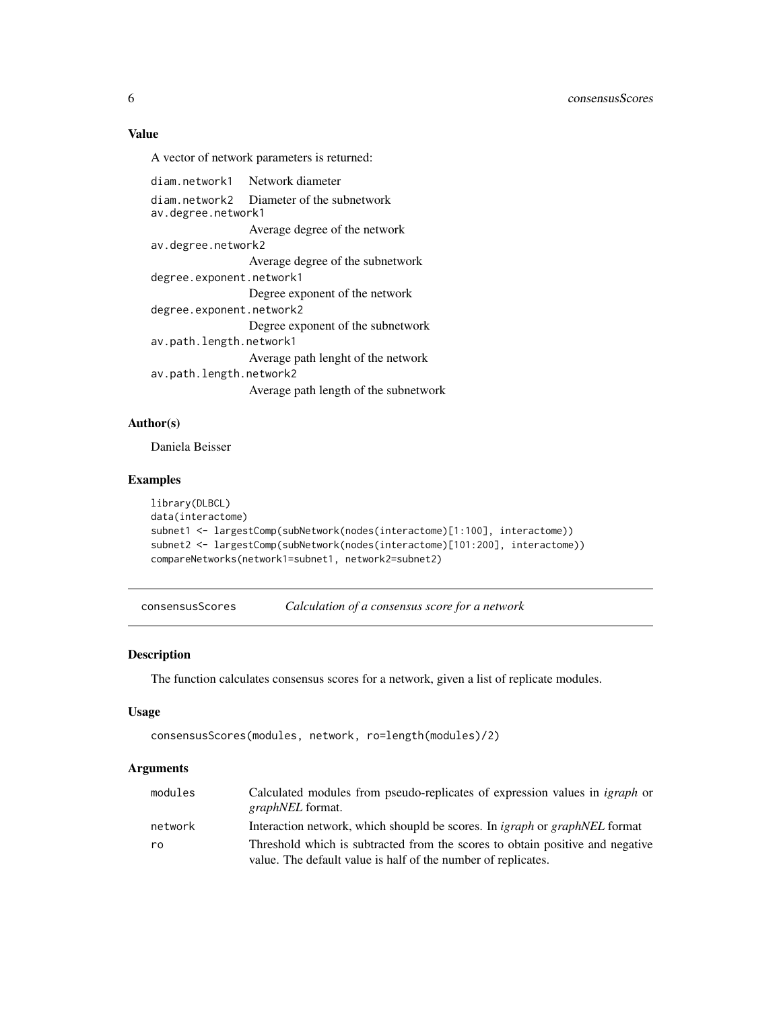### <span id="page-5-0"></span>Value

A vector of network parameters is returned:

diam.network1 Network diameter diam.network2 Diameter of the subnetwork av.degree.network1 Average degree of the network av.degree.network2 Average degree of the subnetwork degree.exponent.network1 Degree exponent of the network degree.exponent.network2 Degree exponent of the subnetwork av.path.length.network1 Average path lenght of the network av.path.length.network2 Average path length of the subnetwork

#### Author(s)

Daniela Beisser

#### Examples

```
library(DLBCL)
data(interactome)
subnet1 <- largestComp(subNetwork(nodes(interactome)[1:100], interactome))
subnet2 <- largestComp(subNetwork(nodes(interactome)[101:200], interactome))
compareNetworks(network1=subnet1, network2=subnet2)
```
consensusScores *Calculation of a consensus score for a network*

#### Description

The function calculates consensus scores for a network, given a list of replicate modules.

#### Usage

```
consensusScores(modules, network, ro=length(modules)/2)
```

| modules | Calculated modules from pseudo-replicates of expression values in <i>igraph</i> or<br><i>graphNEL</i> format.                                  |
|---------|------------------------------------------------------------------------------------------------------------------------------------------------|
| network | Interaction network, which shoupld be scores. In <i>igraph</i> or <i>graphNEL</i> format                                                       |
| ro      | Threshold which is subtracted from the scores to obtain positive and negative<br>value. The default value is half of the number of replicates. |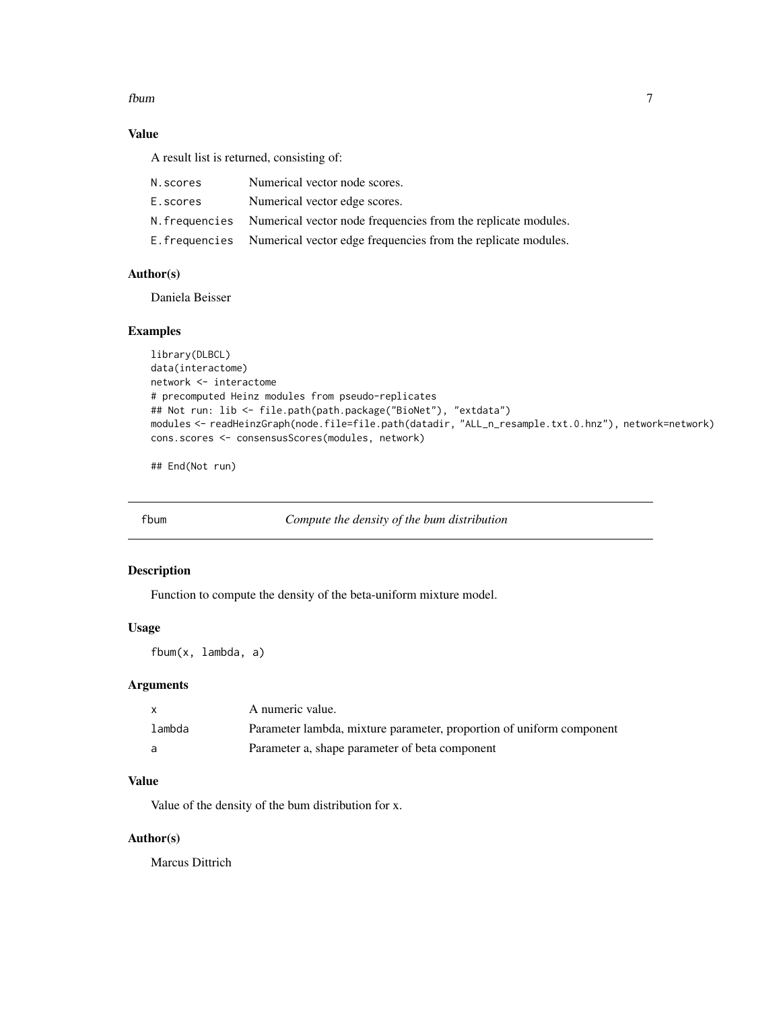#### <span id="page-6-0"></span>fbum 7

### Value

A result list is returned, consisting of:

| N.scores | Numerical vector node scores.                                                |
|----------|------------------------------------------------------------------------------|
| E.scores | Numerical vector edge scores.                                                |
|          | N. frequencies Numerical vector node frequencies from the replicate modules. |
|          | E. frequencies Numerical vector edge frequencies from the replicate modules. |

### Author(s)

Daniela Beisser

### Examples

```
library(DLBCL)
data(interactome)
network <- interactome
# precomputed Heinz modules from pseudo-replicates
## Not run: lib <- file.path(path.package("BioNet"), "extdata")
modules <- readHeinzGraph(node.file=file.path(datadir, "ALL_n_resample.txt.0.hnz"), network=network)
cons.scores <- consensusScores(modules, network)
```
## End(Not run)

<span id="page-6-1"></span>fbum *Compute the density of the bum distribution*

### Description

Function to compute the density of the beta-uniform mixture model.

#### Usage

fbum(x, lambda, a)

#### Arguments

| $\mathsf{x}$ | A numeric value.                                                     |
|--------------|----------------------------------------------------------------------|
| lambda       | Parameter lambda, mixture parameter, proportion of uniform component |
| a            | Parameter a, shape parameter of beta component                       |

### Value

Value of the density of the bum distribution for x.

### Author(s)

Marcus Dittrich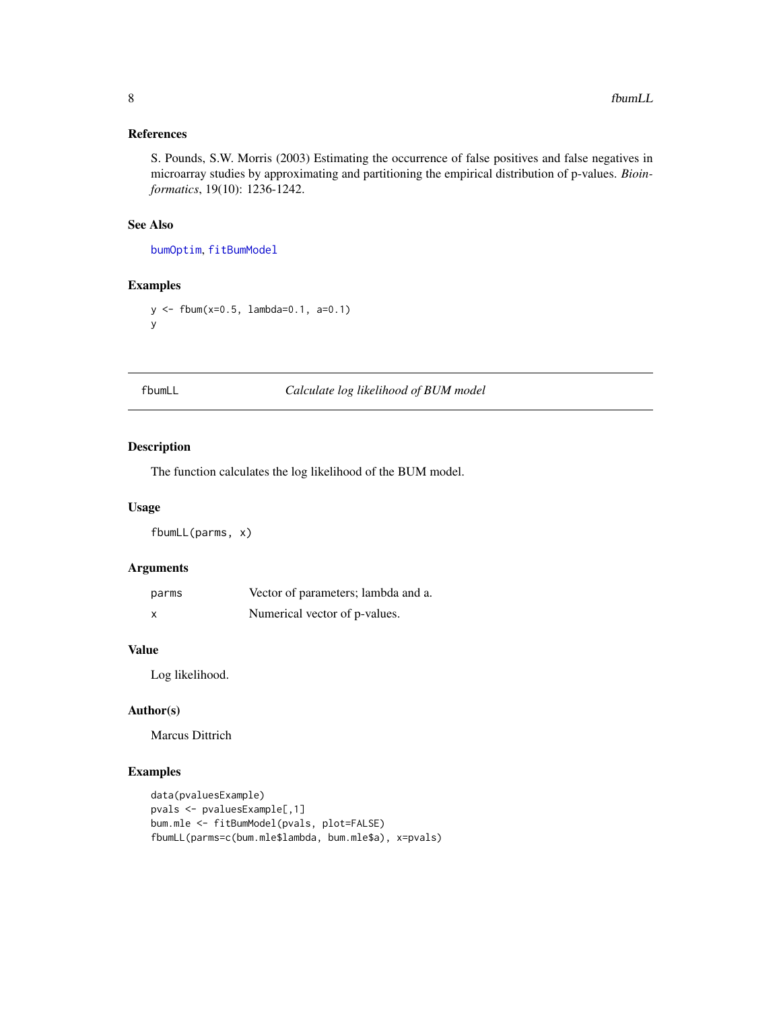### <span id="page-7-0"></span>References

S. Pounds, S.W. Morris (2003) Estimating the occurrence of false positives and false negatives in microarray studies by approximating and partitioning the empirical distribution of p-values. *Bioinformatics*, 19(10): 1236-1242.

### See Also

[bumOptim](#page-3-1), [fitBumModel](#page-9-1)

#### Examples

```
y <- fbum(x=0.5, lambda=0.1, a=0.1)
y
```
#### fbumLL *Calculate log likelihood of BUM model*

#### Description

The function calculates the log likelihood of the BUM model.

#### Usage

fbumLL(parms, x)

### Arguments

| parms | Vector of parameters; lambda and a. |
|-------|-------------------------------------|
| X     | Numerical vector of p-values.       |

#### Value

Log likelihood.

### Author(s)

Marcus Dittrich

```
data(pvaluesExample)
pvals <- pvaluesExample[,1]
bum.mle <- fitBumModel(pvals, plot=FALSE)
fbumLL(parms=c(bum.mle$lambda, bum.mle$a), x=pvals)
```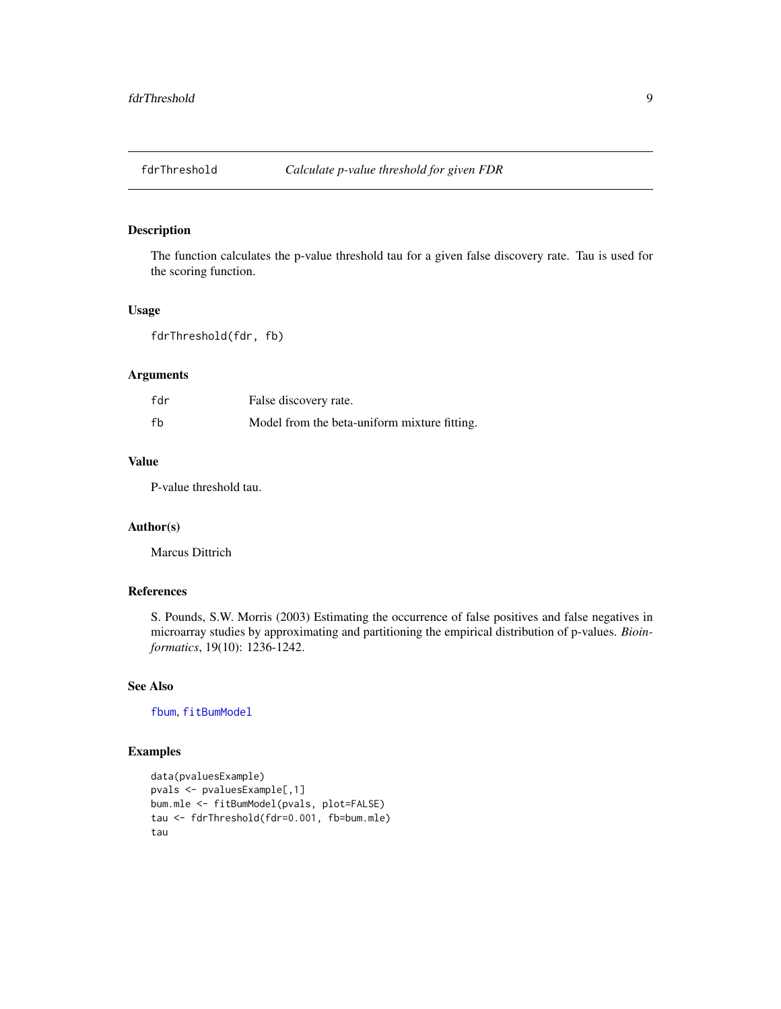<span id="page-8-0"></span>

The function calculates the p-value threshold tau for a given false discovery rate. Tau is used for the scoring function.

#### Usage

fdrThreshold(fdr, fb)

#### Arguments

| fdr | False discovery rate.                        |
|-----|----------------------------------------------|
| fb  | Model from the beta-uniform mixture fitting. |

### Value

P-value threshold tau.

#### Author(s)

Marcus Dittrich

#### References

S. Pounds, S.W. Morris (2003) Estimating the occurrence of false positives and false negatives in microarray studies by approximating and partitioning the empirical distribution of p-values. *Bioinformatics*, 19(10): 1236-1242.

### See Also

[fbum](#page-6-1), [fitBumModel](#page-9-1)

```
data(pvaluesExample)
pvals <- pvaluesExample[,1]
bum.mle <- fitBumModel(pvals, plot=FALSE)
tau <- fdrThreshold(fdr=0.001, fb=bum.mle)
tau
```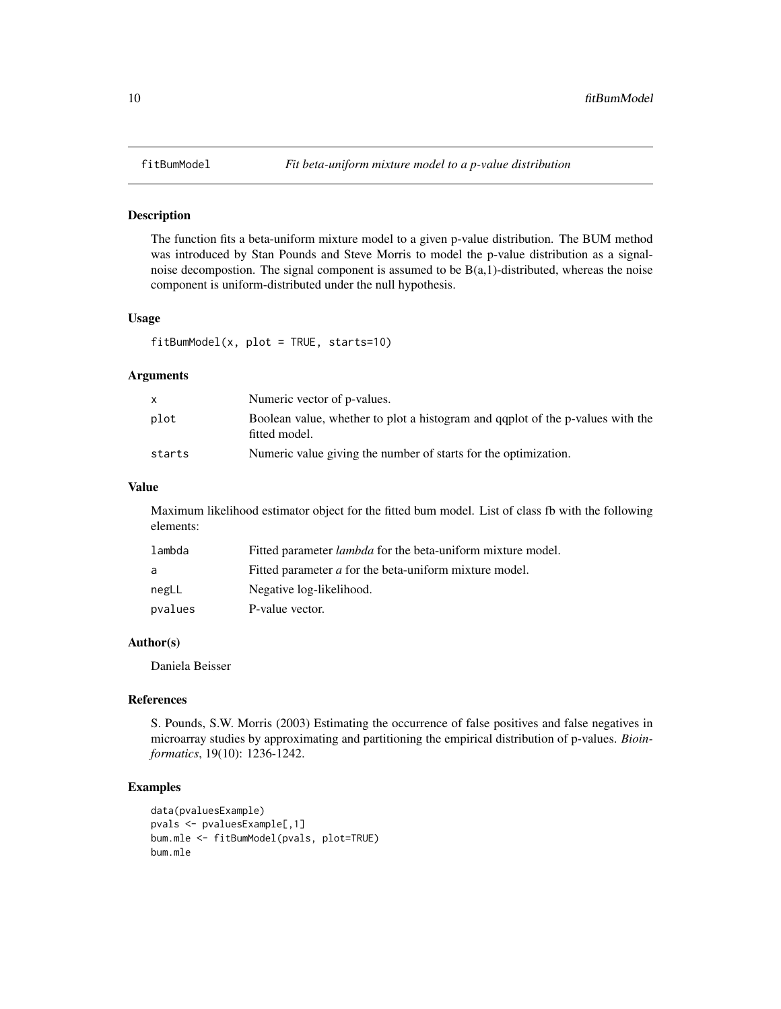<span id="page-9-1"></span><span id="page-9-0"></span>

The function fits a beta-uniform mixture model to a given p-value distribution. The BUM method was introduced by Stan Pounds and Steve Morris to model the p-value distribution as a signalnoise decompostion. The signal component is assumed to be  $B(a,1)$ -distributed, whereas the noise component is uniform-distributed under the null hypothesis.

#### Usage

fitBumModel(x, plot = TRUE, starts=10)

#### Arguments

|        | Numeric vector of p-values.                                                                     |
|--------|-------------------------------------------------------------------------------------------------|
| plot   | Boolean value, whether to plot a histogram and gaplot of the p-values with the<br>fitted model. |
| starts | Numeric value giving the number of starts for the optimization.                                 |

#### Value

Maximum likelihood estimator object for the fitted bum model. List of class fb with the following elements:

| lambda  | Fitted parameter <i>lambda</i> for the beta-uniform mixture model. |
|---------|--------------------------------------------------------------------|
| a       | Fitted parameter <i>a</i> for the beta-uniform mixture model.      |
| negLL   | Negative log-likelihood.                                           |
| pvalues | P-value vector.                                                    |

### Author(s)

Daniela Beisser

### References

S. Pounds, S.W. Morris (2003) Estimating the occurrence of false positives and false negatives in microarray studies by approximating and partitioning the empirical distribution of p-values. *Bioinformatics*, 19(10): 1236-1242.

```
data(pvaluesExample)
pvals <- pvaluesExample[,1]
bum.mle <- fitBumModel(pvals, plot=TRUE)
bum.mle
```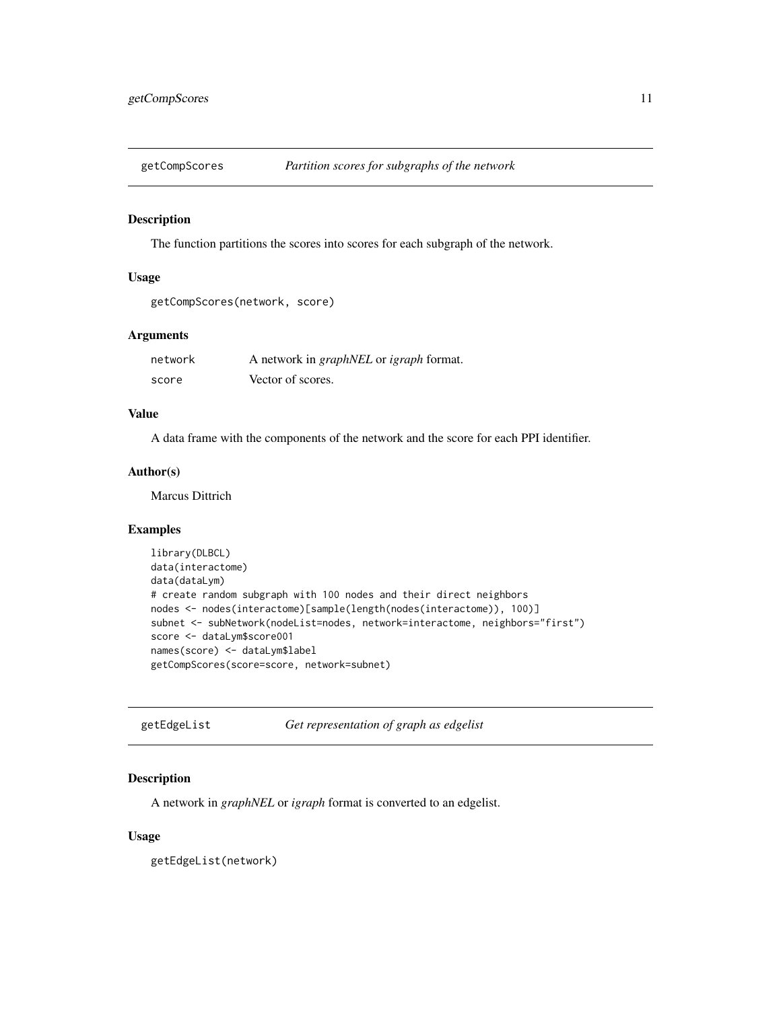<span id="page-10-0"></span>

The function partitions the scores into scores for each subgraph of the network.

#### Usage

```
getCompScores(network, score)
```
### Arguments

| network | A network in <i>graphNEL</i> or <i>igraph</i> format. |
|---------|-------------------------------------------------------|
| score   | Vector of scores.                                     |

### Value

A data frame with the components of the network and the score for each PPI identifier.

### Author(s)

Marcus Dittrich

#### Examples

```
library(DLBCL)
data(interactome)
data(dataLym)
# create random subgraph with 100 nodes and their direct neighbors
nodes <- nodes(interactome)[sample(length(nodes(interactome)), 100)]
subnet <- subNetwork(nodeList=nodes, network=interactome, neighbors="first")
score <- dataLym$score001
names(score) <- dataLym$label
getCompScores(score=score, network=subnet)
```
getEdgeList *Get representation of graph as edgelist*

### Description

A network in *graphNEL* or *igraph* format is converted to an edgelist.

#### Usage

getEdgeList(network)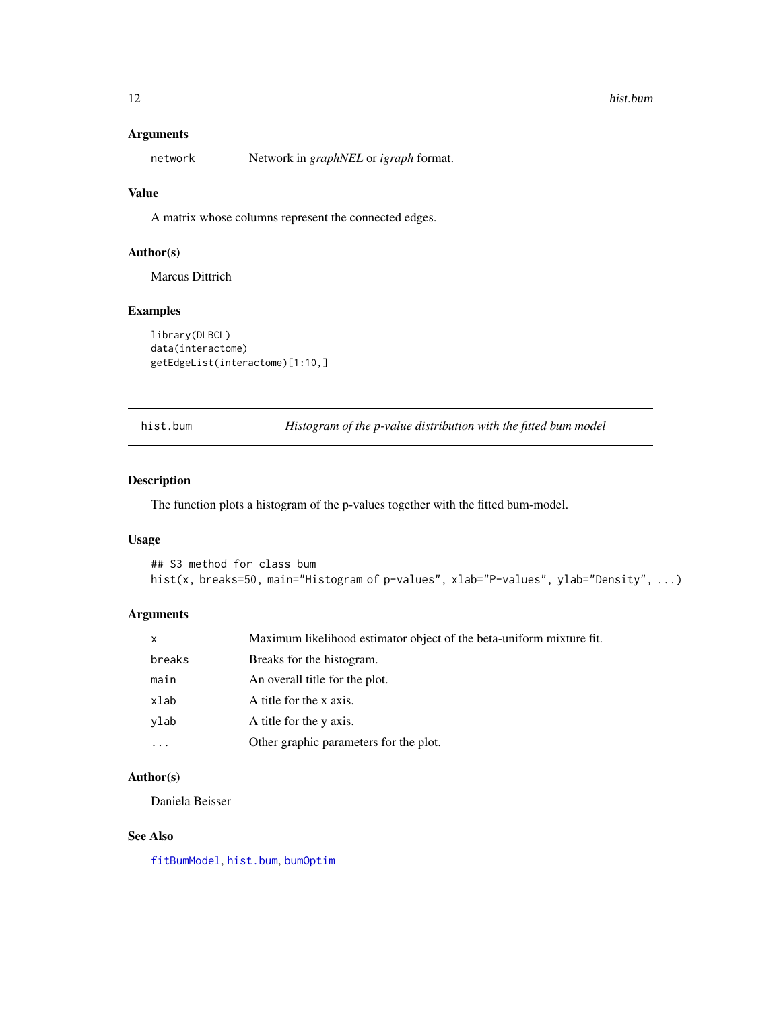#### <span id="page-11-0"></span>12 hist.bum

#### Arguments

network Network in *graphNEL* or *igraph* format.

### Value

A matrix whose columns represent the connected edges.

### Author(s)

Marcus Dittrich

#### Examples

```
library(DLBCL)
data(interactome)
getEdgeList(interactome)[1:10,]
```
<span id="page-11-1"></span>hist.bum *Histogram of the p-value distribution with the fitted bum model*

### Description

The function plots a histogram of the p-values together with the fitted bum-model.

### Usage

```
## S3 method for class bum
hist(x, breaks=50, main="Histogram of p-values", xlab="P-values", ylab="Density", ...)
```
### Arguments

| $\mathsf{x}$ | Maximum likelihood estimator object of the beta-uniform mixture fit. |
|--------------|----------------------------------------------------------------------|
| breaks       | Breaks for the histogram.                                            |
| main         | An overall title for the plot.                                       |
| xlab         | A title for the x axis.                                              |
| ylab         | A title for the y axis.                                              |
|              | Other graphic parameters for the plot.                               |

#### Author(s)

Daniela Beisser

#### See Also

[fitBumModel](#page-9-1), [hist.bum](#page-11-1), [bumOptim](#page-3-1)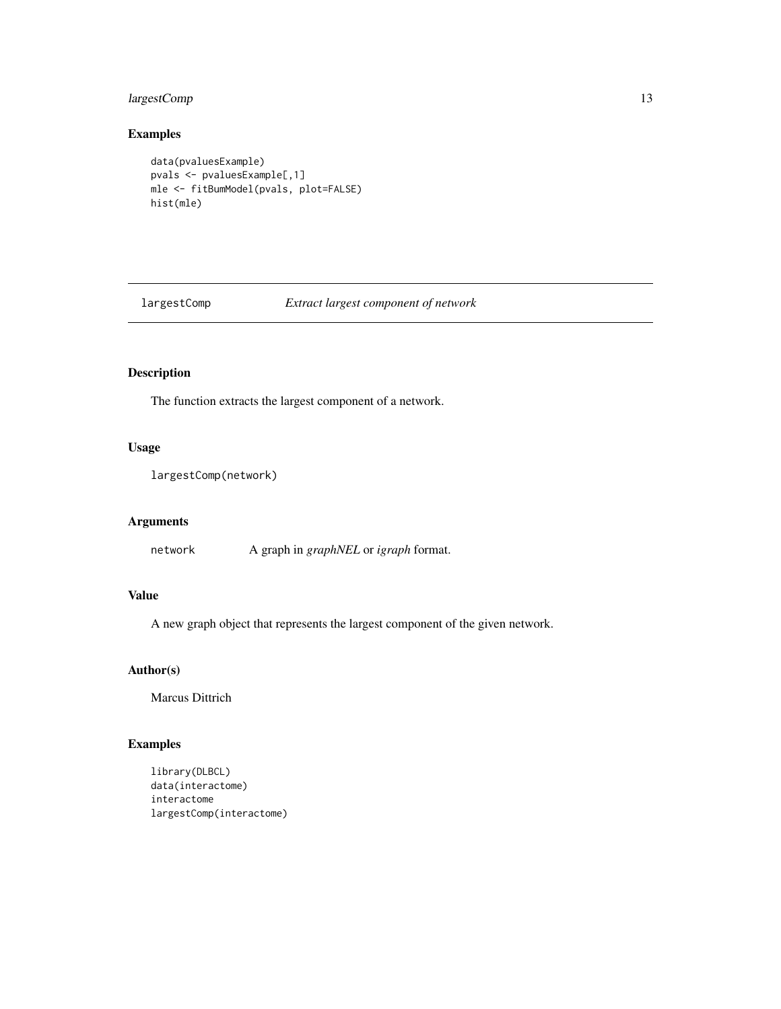### <span id="page-12-0"></span>largestComp 13

### Examples

```
data(pvaluesExample)
pvals <- pvaluesExample[,1]
mle <- fitBumModel(pvals, plot=FALSE)
hist(mle)
```
largestComp *Extract largest component of network*

### Description

The function extracts the largest component of a network.

### Usage

```
largestComp(network)
```
### Arguments

network A graph in *graphNEL* or *igraph* format.

### Value

A new graph object that represents the largest component of the given network.

### Author(s)

Marcus Dittrich

```
library(DLBCL)
data(interactome)
interactome
largestComp(interactome)
```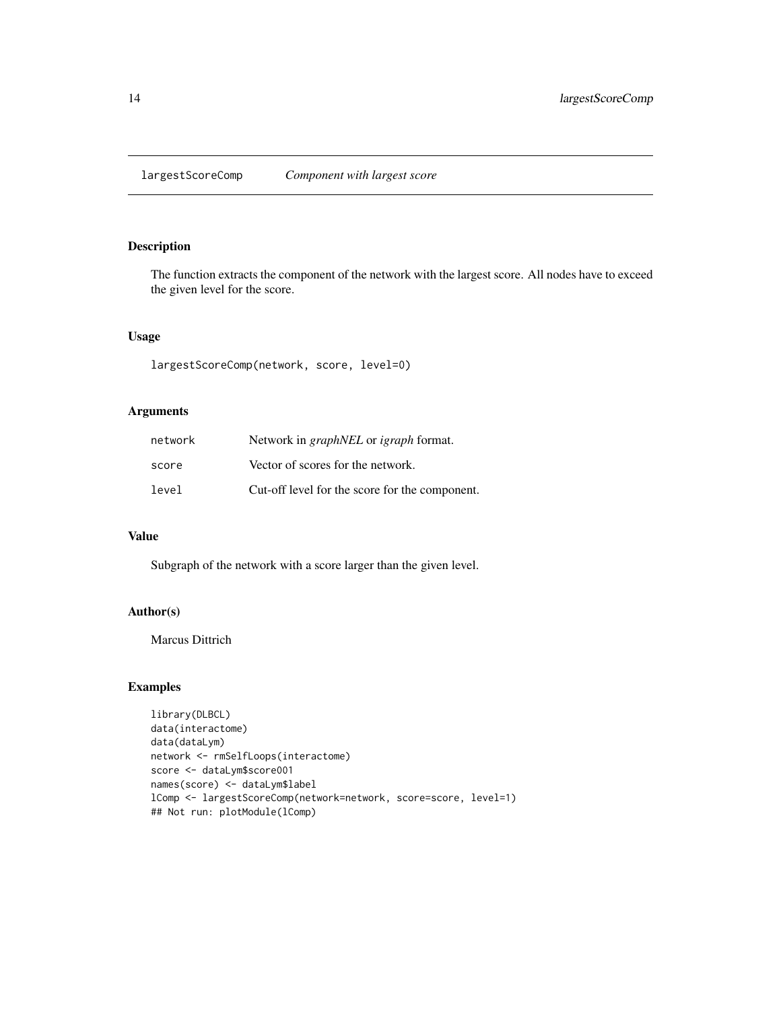<span id="page-13-0"></span>largestScoreComp *Component with largest score*

#### Description

The function extracts the component of the network with the largest score. All nodes have to exceed the given level for the score.

#### Usage

largestScoreComp(network, score, level=0)

### Arguments

| network | Network in <i>graphNEL</i> or <i>igraph</i> format. |
|---------|-----------------------------------------------------|
| score   | Vector of scores for the network.                   |
| level   | Cut-off level for the score for the component.      |

### Value

Subgraph of the network with a score larger than the given level.

#### Author(s)

Marcus Dittrich

```
library(DLBCL)
data(interactome)
data(dataLym)
network <- rmSelfLoops(interactome)
score <- dataLym$score001
names(score) <- dataLym$label
lComp <- largestScoreComp(network=network, score=score, level=1)
## Not run: plotModule(lComp)
```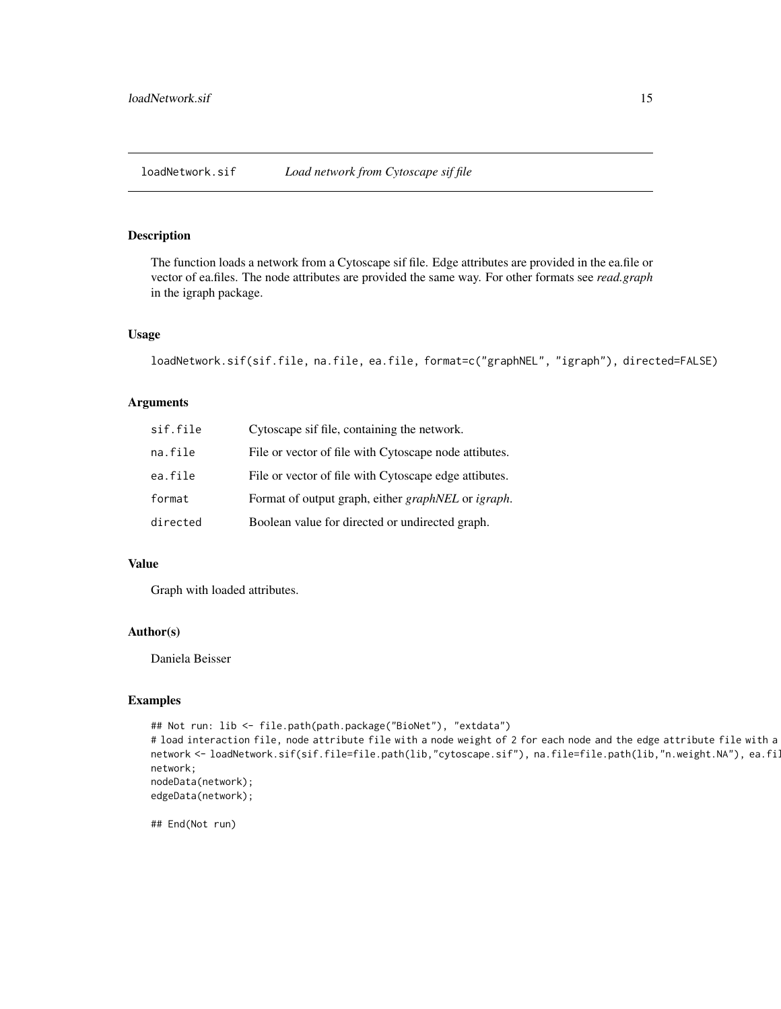<span id="page-14-1"></span><span id="page-14-0"></span>The function loads a network from a Cytoscape sif file. Edge attributes are provided in the ea.file or vector of ea.files. The node attributes are provided the same way. For other formats see *read.graph* in the igraph package.

#### Usage

```
loadNetwork.sif(sif.file, na.file, ea.file, format=c("graphNEL", "igraph"), directed=FALSE)
```
#### Arguments

| sif.file | Cytoscape sif file, containing the network.                       |
|----------|-------------------------------------------------------------------|
| na.file  | File or vector of file with Cytoscape node attibutes.             |
| ea.file  | File or vector of file with Cytoscape edge attibutes.             |
| format   | Format of output graph, either <i>graphNEL</i> or <i>igraph</i> . |
| directed | Boolean value for directed or undirected graph.                   |

### Value

Graph with loaded attributes.

#### Author(s)

Daniela Beisser

### Examples

```
## Not run: lib <- file.path(path.package("BioNet"), "extdata")
# load interaction file, node attribute file with a node weight of 2 for each node and the edge attribute file with a
network <- loadNetwork.sif(sif.file=file.path(lib,"cytoscape.sif"), na.file=file.path(lib,"n.weight.NA"), ea.fi
network;
nodeData(network);
edgeData(network);
```
## End(Not run)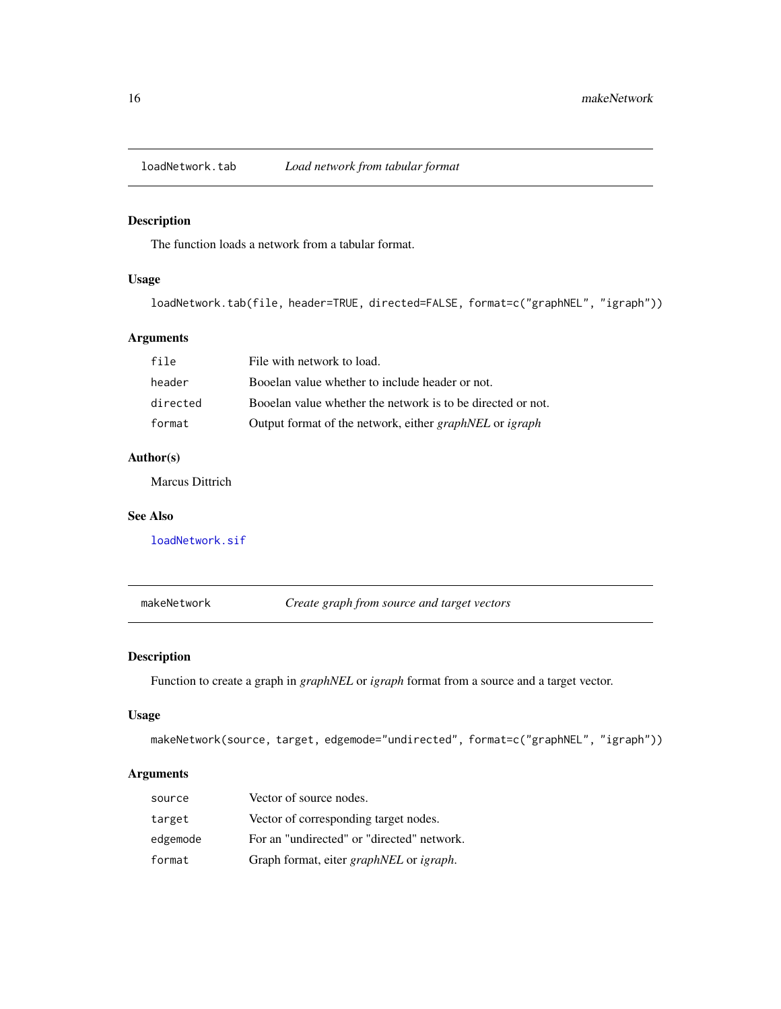<span id="page-15-0"></span>

The function loads a network from a tabular format.

### Usage

loadNetwork.tab(file, header=TRUE, directed=FALSE, format=c("graphNEL", "igraph"))

### Arguments

| file     | File with network to load.                                            |
|----------|-----------------------------------------------------------------------|
| header   | Booelan value whether to include header or not.                       |
| directed | Booelan value whether the network is to be directed or not.           |
| format   | Output format of the network, either <i>graphNEL</i> or <i>igraph</i> |

### Author(s)

Marcus Dittrich

#### See Also

[loadNetwork.sif](#page-14-1)

makeNetwork *Create graph from source and target vectors*

### Description

Function to create a graph in *graphNEL* or *igraph* format from a source and a target vector.

#### Usage

```
makeNetwork(source, target, edgemode="undirected", format=c("graphNEL", "igraph"))
```

| source   | Vector of source nodes.                    |
|----------|--------------------------------------------|
| target   | Vector of corresponding target nodes.      |
| edgemode | For an "undirected" or "directed" network. |
| format   | Graph format, eiter graphNEL or igraph.    |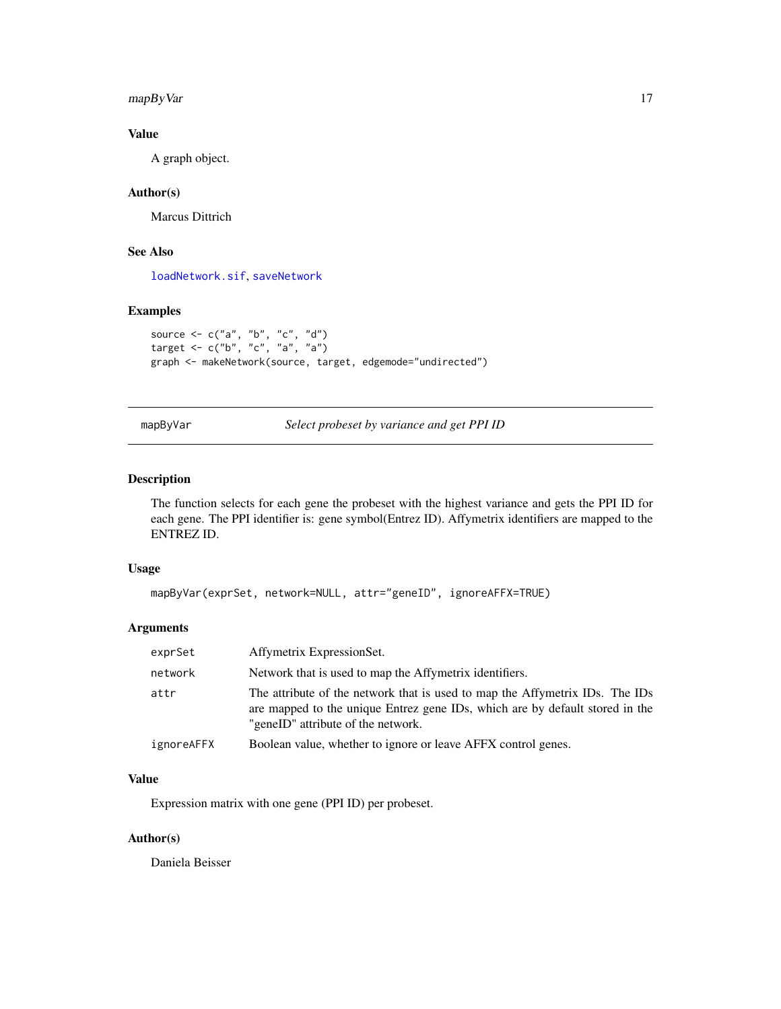<span id="page-16-0"></span>mapByVar 17

### Value

A graph object.

### Author(s)

Marcus Dittrich

### See Also

[loadNetwork.sif](#page-14-1), [saveNetwork](#page-30-1)

### Examples

```
source <- c("a", "b", "c", "d")
target <- c("b", "c", "a", "a")
graph <- makeNetwork(source, target, edgemode="undirected")
```
mapByVar *Select probeset by variance and get PPI ID*

#### Description

The function selects for each gene the probeset with the highest variance and gets the PPI ID for each gene. The PPI identifier is: gene symbol(Entrez ID). Affymetrix identifiers are mapped to the ENTREZ ID.

### Usage

```
mapByVar(exprSet, network=NULL, attr="geneID", ignoreAFFX=TRUE)
```
### Arguments

| exprSet    | Affymetrix ExpressionSet.                                                                                                                                                                          |
|------------|----------------------------------------------------------------------------------------------------------------------------------------------------------------------------------------------------|
| network    | Network that is used to map the Affymetrix identifiers.                                                                                                                                            |
| attr       | The attribute of the network that is used to map the Affymetrix IDs. The IDs<br>are mapped to the unique Entrez gene IDs, which are by default stored in the<br>"geneID" attribute of the network. |
| ignoreAFFX | Boolean value, whether to ignore or leave AFFX control genes.                                                                                                                                      |

### Value

Expression matrix with one gene (PPI ID) per probeset.

### Author(s)

Daniela Beisser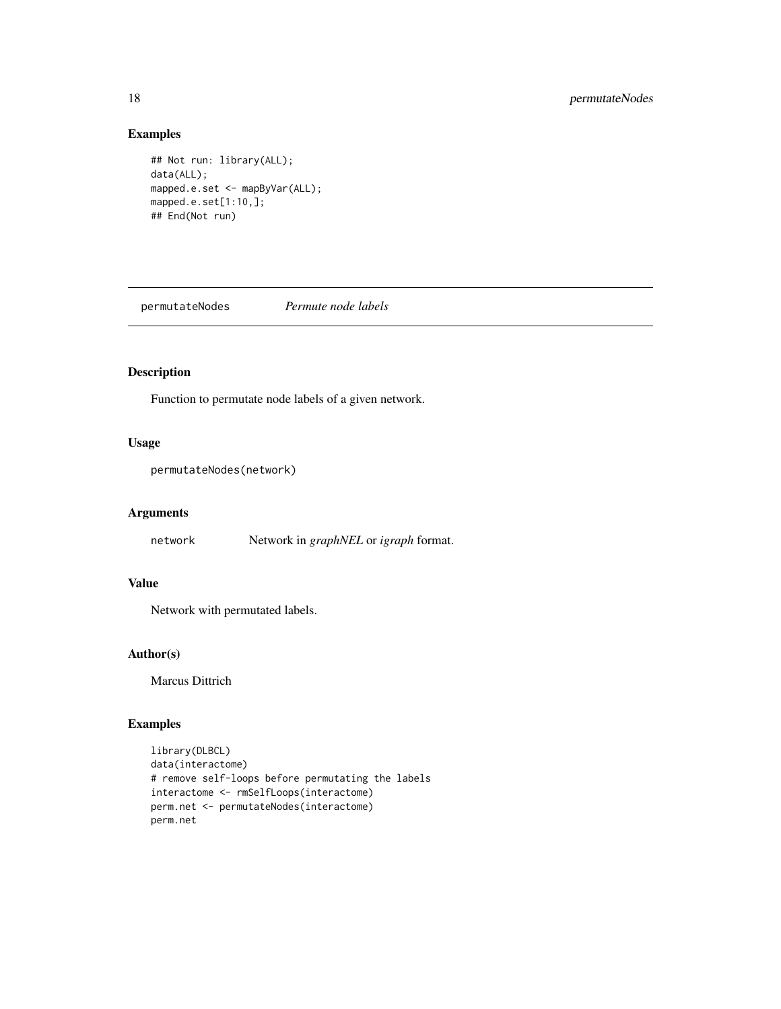### Examples

```
## Not run: library(ALL);
data(ALL);
mapped.e.set <- mapByVar(ALL);
mapped.e.set[1:10,];
## End(Not run)
```
permutateNodes *Permute node labels*

### Description

Function to permutate node labels of a given network.

### Usage

```
permutateNodes(network)
```
#### Arguments

network Network in *graphNEL* or *igraph* format.

### Value

Network with permutated labels.

## Author(s)

Marcus Dittrich

```
library(DLBCL)
data(interactome)
# remove self-loops before permutating the labels
interactome <- rmSelfLoops(interactome)
perm.net <- permutateNodes(interactome)
perm.net
```
<span id="page-17-0"></span>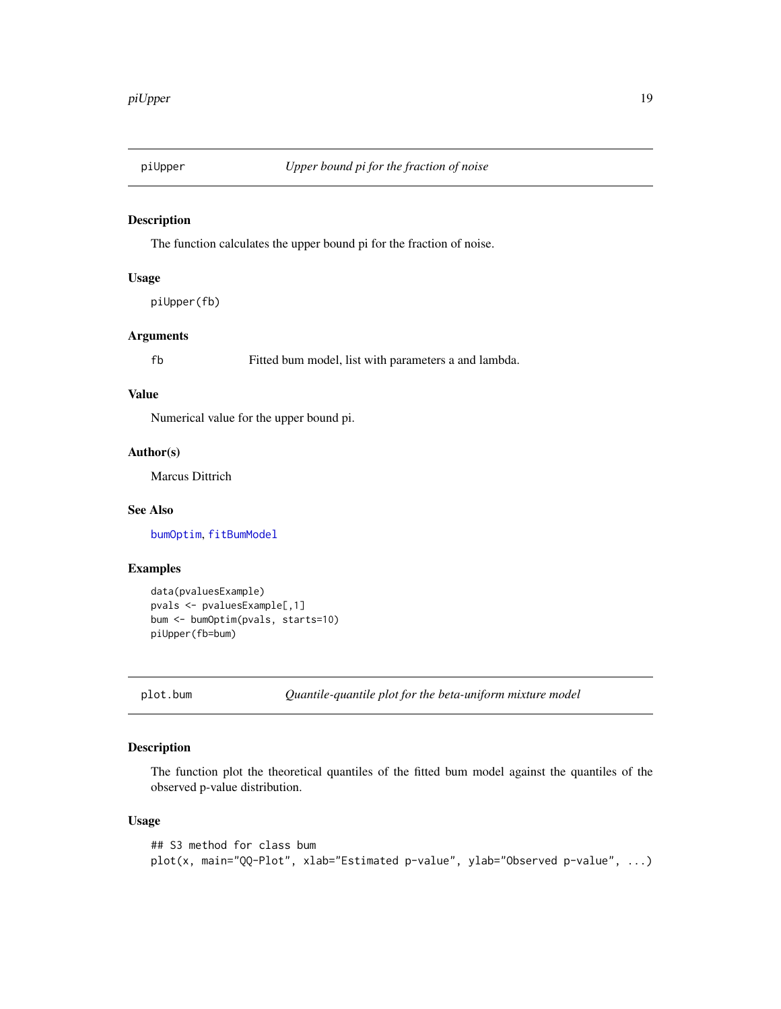<span id="page-18-0"></span>

The function calculates the upper bound pi for the fraction of noise.

### Usage

piUpper(fb)

### Arguments

fb Fitted bum model, list with parameters a and lambda.

### Value

Numerical value for the upper bound pi.

#### Author(s)

Marcus Dittrich

### See Also

[bumOptim](#page-3-1), [fitBumModel](#page-9-1)

### Examples

```
data(pvaluesExample)
pvals <- pvaluesExample[,1]
bum <- bumOptim(pvals, starts=10)
piUpper(fb=bum)
```
<span id="page-18-1"></span>plot.bum *Quantile-quantile plot for the beta-uniform mixture model*

#### Description

The function plot the theoretical quantiles of the fitted bum model against the quantiles of the observed p-value distribution.

### Usage

```
## S3 method for class bum
plot(x, main="QQ-Plot", xlab="Estimated p-value", ylab="Observed p-value", ...)
```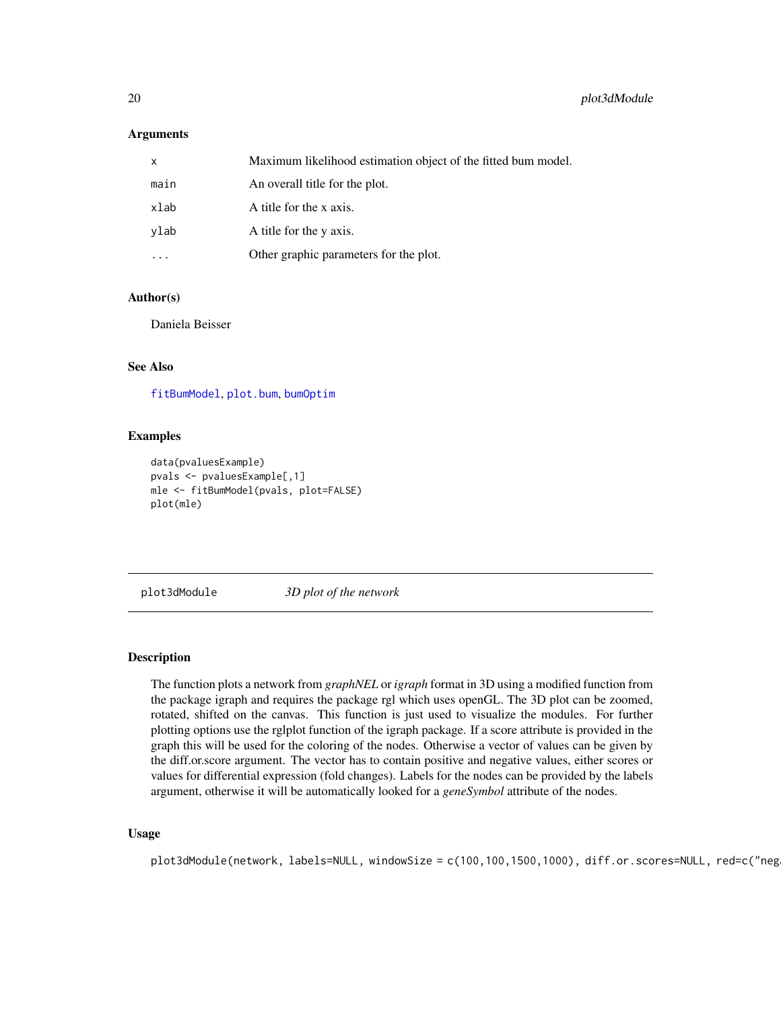#### <span id="page-19-0"></span>Arguments

| x    | Maximum likelihood estimation object of the fitted bum model. |
|------|---------------------------------------------------------------|
| main | An overall title for the plot.                                |
| xlab | A title for the x axis.                                       |
| vlab | A title for the y axis.                                       |
| .    | Other graphic parameters for the plot.                        |

#### Author(s)

Daniela Beisser

#### See Also

[fitBumModel](#page-9-1), [plot.bum](#page-18-1), [bumOptim](#page-3-1)

#### Examples

```
data(pvaluesExample)
pvals <- pvaluesExample[,1]
mle <- fitBumModel(pvals, plot=FALSE)
plot(mle)
```
<span id="page-19-1"></span>plot3dModule *3D plot of the network*

#### Description

The function plots a network from *graphNEL* or *igraph* format in 3D using a modified function from the package igraph and requires the package rgl which uses openGL. The 3D plot can be zoomed, rotated, shifted on the canvas. This function is just used to visualize the modules. For further plotting options use the rglplot function of the igraph package. If a score attribute is provided in the graph this will be used for the coloring of the nodes. Otherwise a vector of values can be given by the diff.or.score argument. The vector has to contain positive and negative values, either scores or values for differential expression (fold changes). Labels for the nodes can be provided by the labels argument, otherwise it will be automatically looked for a *geneSymbol* attribute of the nodes.

#### Usage

 $plot3d$ Module(network, labels=NULL, windowSize =  $c(100, 100, 1500, 1000)$ , diff.or.scores=NULL, red=c("neg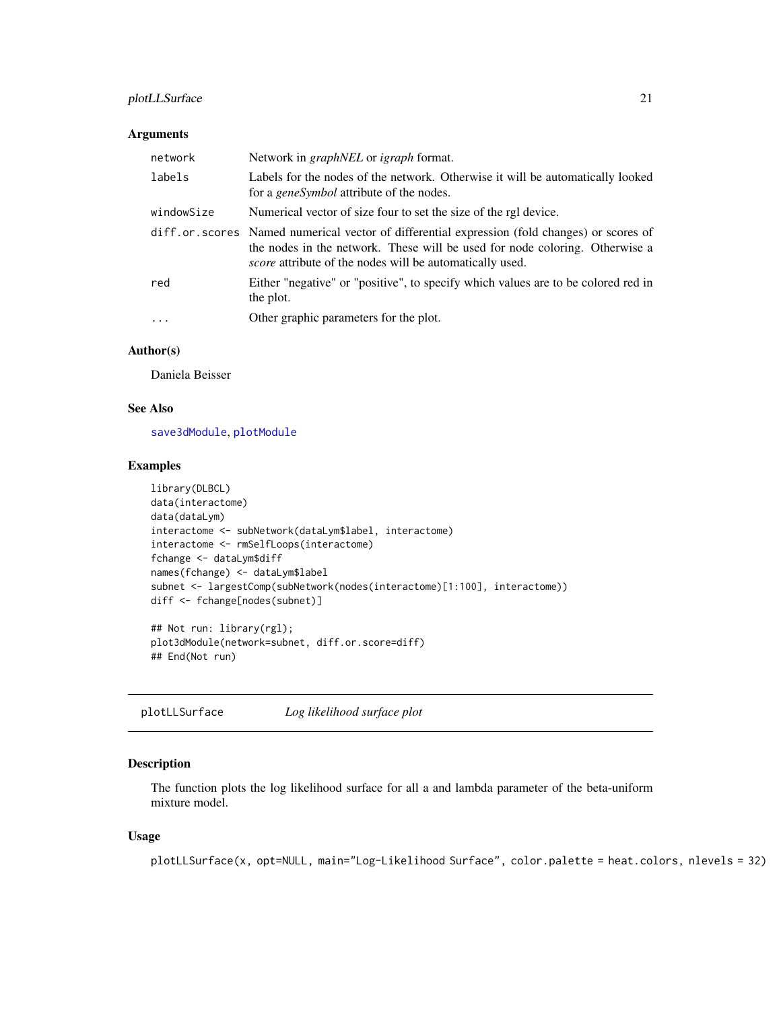### <span id="page-20-0"></span>plotLLSurface 21

#### Arguments

| network    | Network in <i>graphNEL</i> or <i>igraph</i> format.                                                                                                                                                                                            |
|------------|------------------------------------------------------------------------------------------------------------------------------------------------------------------------------------------------------------------------------------------------|
| labels     | Labels for the nodes of the network. Otherwise it will be automatically looked<br>for a <i>geneSymbol</i> attribute of the nodes.                                                                                                              |
| windowSize | Numerical vector of size four to set the size of the rgl device.                                                                                                                                                                               |
|            | diff.or.scores Named numerical vector of differential expression (fold changes) or scores of<br>the nodes in the network. These will be used for node coloring. Otherwise a<br><i>score</i> attribute of the nodes will be automatically used. |
| red        | Either "negative" or "positive", to specify which values are to be colored red in<br>the plot.                                                                                                                                                 |
| $\cdots$   | Other graphic parameters for the plot.                                                                                                                                                                                                         |

### Author(s)

Daniela Beisser

### See Also

[save3dModule](#page-29-1), [plotModule](#page-21-1)

#### Examples

```
library(DLBCL)
data(interactome)
data(dataLym)
interactome <- subNetwork(dataLym$label, interactome)
interactome <- rmSelfLoops(interactome)
fchange <- dataLym$diff
names(fchange) <- dataLym$label
subnet <- largestComp(subNetwork(nodes(interactome)[1:100], interactome))
diff <- fchange[nodes(subnet)]
## Not run: library(rgl);
plot3dModule(network=subnet, diff.or.score=diff)
## End(Not run)
```
plotLLSurface *Log likelihood surface plot*

### Description

The function plots the log likelihood surface for all a and lambda parameter of the beta-uniform mixture model.

#### Usage

plotLLSurface(x, opt=NULL, main="Log-Likelihood Surface", color.palette = heat.colors, nlevels = 32)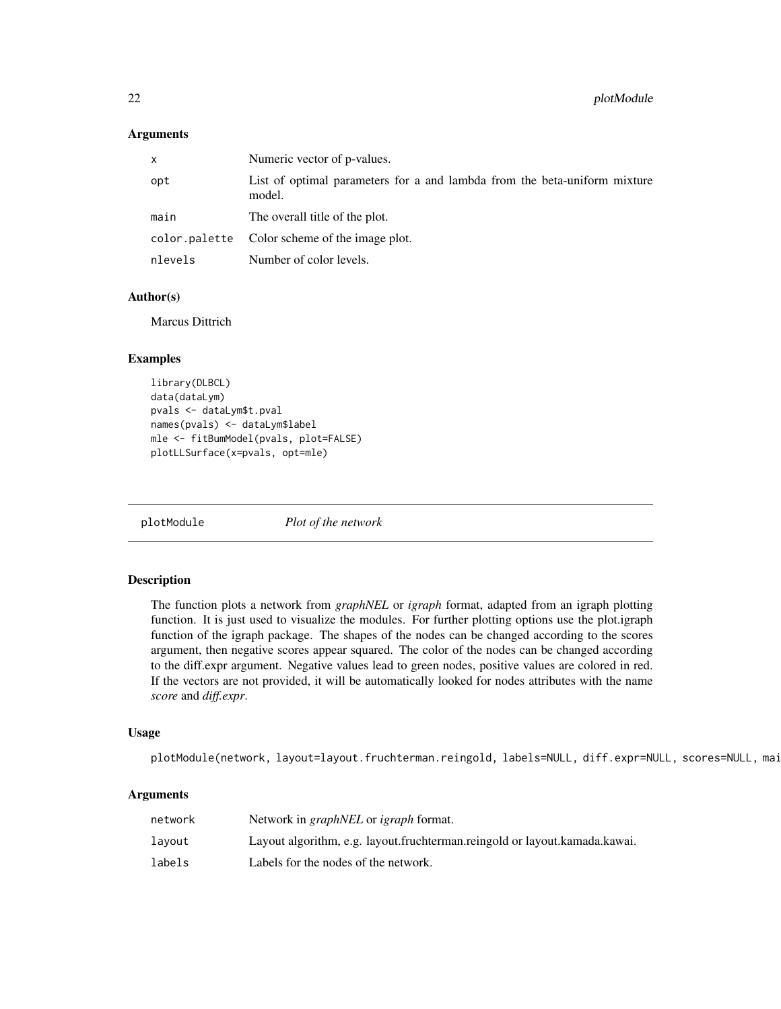#### <span id="page-21-0"></span>Arguments

| x       | Numeric vector of p-values.                                                         |
|---------|-------------------------------------------------------------------------------------|
| opt     | List of optimal parameters for a and lambda from the beta-uniform mixture<br>model. |
| main    | The overall title of the plot.                                                      |
|         | color palette Color scheme of the image plot.                                       |
| nlevels | Number of color levels.                                                             |

#### Author(s)

Marcus Dittrich

#### Examples

```
library(DLBCL)
data(dataLym)
pvals <- dataLym$t.pval
names(pvals) <- dataLym$label
mle <- fitBumModel(pvals, plot=FALSE)
plotLLSurface(x=pvals, opt=mle)
```
<span id="page-21-1"></span>

plotModule *Plot of the network*

#### Description

The function plots a network from *graphNEL* or *igraph* format, adapted from an igraph plotting function. It is just used to visualize the modules. For further plotting options use the plot.igraph function of the igraph package. The shapes of the nodes can be changed according to the scores argument, then negative scores appear squared. The color of the nodes can be changed according to the diff.expr argument. Negative values lead to green nodes, positive values are colored in red. If the vectors are not provided, it will be automatically looked for nodes attributes with the name *score* and *diff.expr*.

#### Usage

plotModule(network, layout=layout.fruchterman.reingold, labels=NULL, diff.expr=NULL, scores=NULL, mai

| network | Network in <i>graphNEL</i> or <i>igraph</i> format.                        |
|---------|----------------------------------------------------------------------------|
| lavout  | Layout algorithm, e.g. layout.fruchterman.reingold or layout.kamada.kawai. |
| labels  | Labels for the nodes of the network.                                       |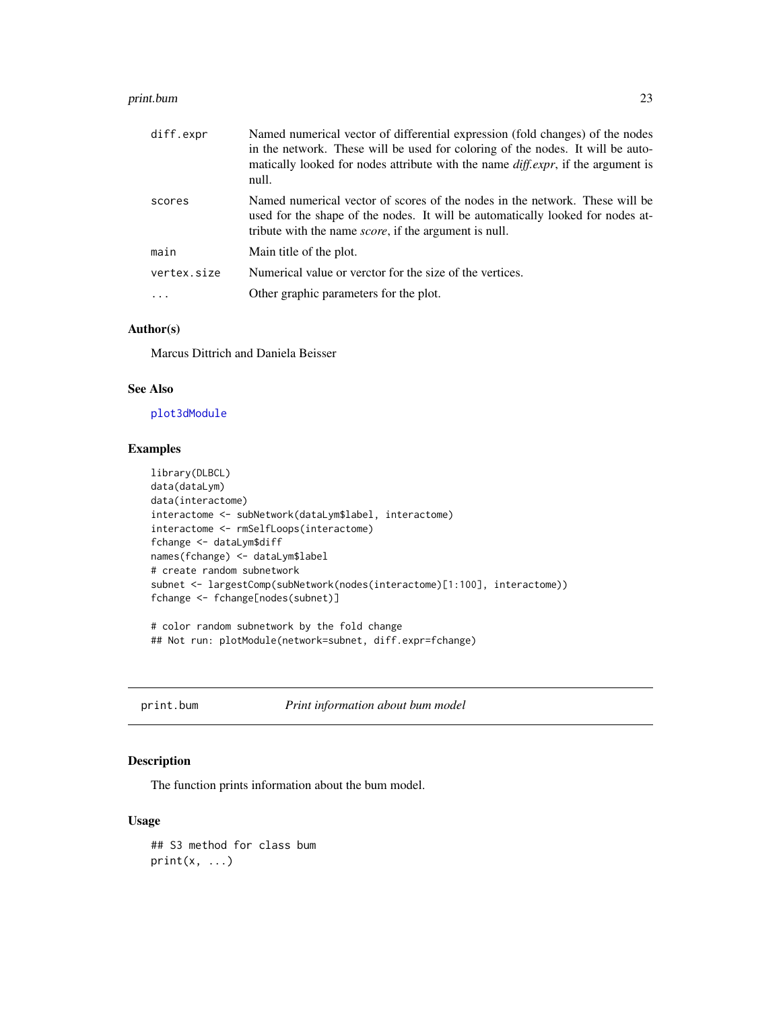#### <span id="page-22-0"></span>print.bum 23

| diff.expr   | Named numerical vector of differential expression (fold changes) of the nodes<br>in the network. These will be used for coloring of the nodes. It will be auto-<br>matically looked for nodes attribute with the name <i>diff.expr</i> , if the argument is<br>null. |
|-------------|----------------------------------------------------------------------------------------------------------------------------------------------------------------------------------------------------------------------------------------------------------------------|
| scores      | Named numerical vector of scores of the nodes in the network. These will be<br>used for the shape of the nodes. It will be automatically looked for nodes at-<br>tribute with the name <i>score</i> , if the argument is null.                                       |
| main        | Main title of the plot.                                                                                                                                                                                                                                              |
| vertex.size | Numerical value or verctor for the size of the vertices.                                                                                                                                                                                                             |
| $\cdots$    | Other graphic parameters for the plot.                                                                                                                                                                                                                               |
|             |                                                                                                                                                                                                                                                                      |

### Author(s)

Marcus Dittrich and Daniela Beisser

#### See Also

#### [plot3dModule](#page-19-1)

### Examples

```
library(DLBCL)
data(dataLym)
data(interactome)
interactome <- subNetwork(dataLym$label, interactome)
interactome <- rmSelfLoops(interactome)
fchange <- dataLym$diff
names(fchange) <- dataLym$label
# create random subnetwork
subnet <- largestComp(subNetwork(nodes(interactome)[1:100], interactome))
fchange <- fchange[nodes(subnet)]
# color random subnetwork by the fold change
```
## Not run: plotModule(network=subnet, diff.expr=fchange)

<span id="page-22-1"></span>print.bum *Print information about bum model*

### Description

The function prints information about the bum model.

### Usage

```
## S3 method for class bum
print(x, \ldots)
```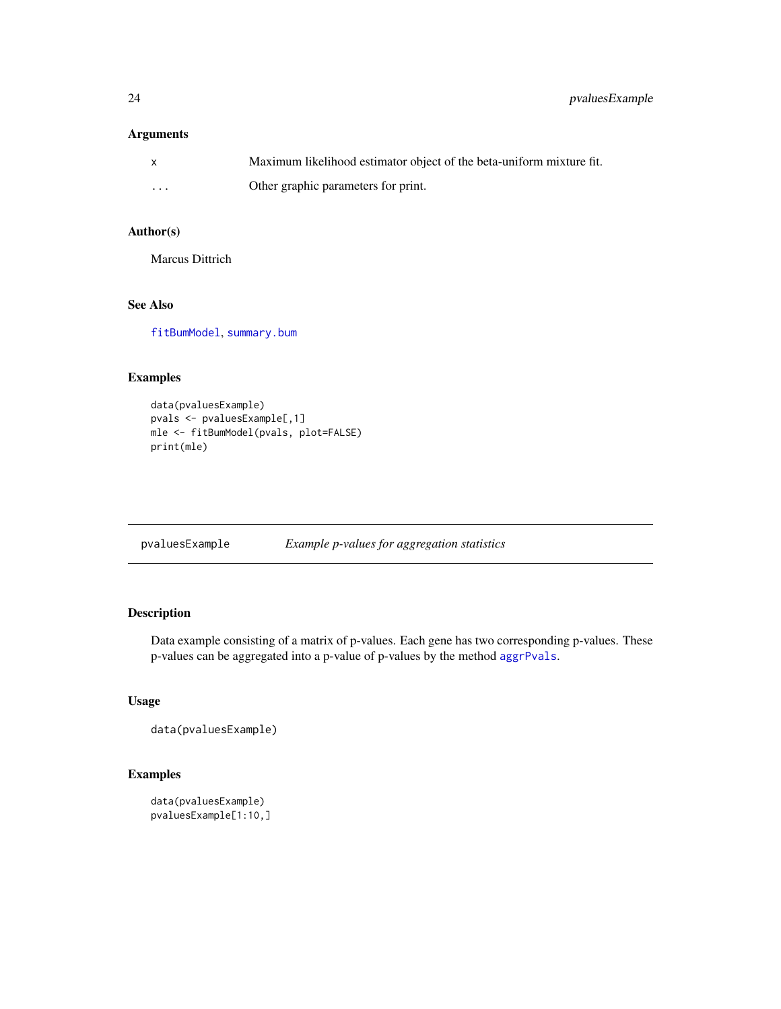#### <span id="page-23-0"></span>Arguments

| X        | Maximum likelihood estimator object of the beta-uniform mixture fit. |
|----------|----------------------------------------------------------------------|
| $\cdots$ | Other graphic parameters for print.                                  |

### Author(s)

Marcus Dittrich

### See Also

[fitBumModel](#page-9-1), [summary.bum](#page-36-1)

### Examples

```
data(pvaluesExample)
pvals <- pvaluesExample[,1]
mle <- fitBumModel(pvals, plot=FALSE)
print(mle)
```
pvaluesExample *Example p-values for aggregation statistics*

### Description

Data example consisting of a matrix of p-values. Each gene has two corresponding p-values. These p-values can be aggregated into a p-value of p-values by the method [aggrPvals](#page-2-1).

### Usage

```
data(pvaluesExample)
```

```
data(pvaluesExample)
pvaluesExample[1:10,]
```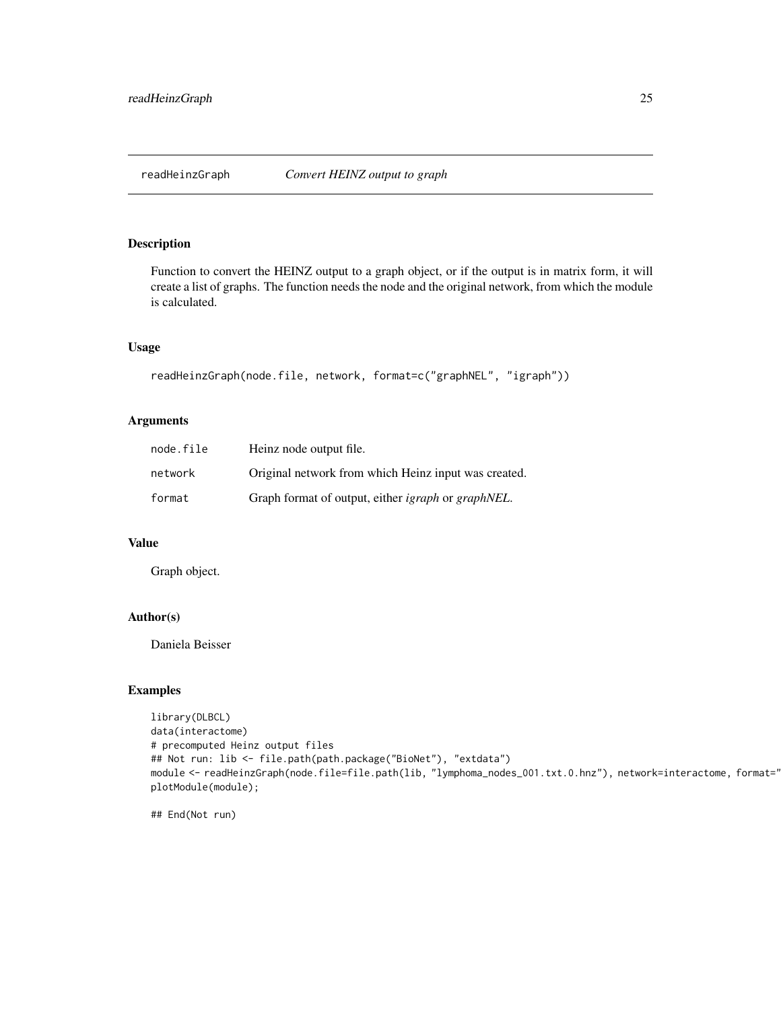<span id="page-24-1"></span><span id="page-24-0"></span>

Function to convert the HEINZ output to a graph object, or if the output is in matrix form, it will create a list of graphs. The function needs the node and the original network, from which the module is calculated.

### Usage

```
readHeinzGraph(node.file, network, format=c("graphNEL", "igraph"))
```
### Arguments

| node.file | Heinz node output file.                                           |
|-----------|-------------------------------------------------------------------|
| network   | Original network from which Heinz input was created.              |
| format    | Graph format of output, either <i>igraph</i> or <i>graphNEL</i> . |

### Value

Graph object.

### Author(s)

Daniela Beisser

### Examples

```
library(DLBCL)
data(interactome)
# precomputed Heinz output files
## Not run: lib <- file.path(path.package("BioNet"), "extdata")
module <- readHeinzGraph(node.file=file.path(lib, "lymphoma_nodes_001.txt.0.hnz"), network=interactome, format='
plotModule(module);
```
## End(Not run)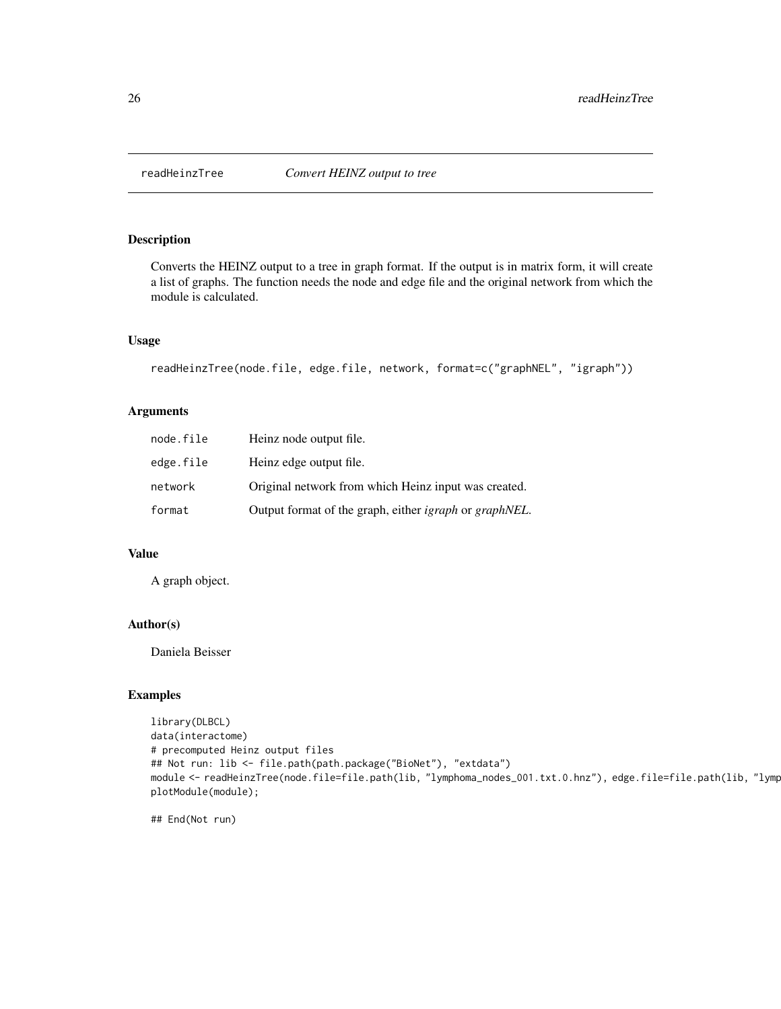<span id="page-25-1"></span><span id="page-25-0"></span>

Converts the HEINZ output to a tree in graph format. If the output is in matrix form, it will create a list of graphs. The function needs the node and edge file and the original network from which the module is calculated.

#### Usage

readHeinzTree(node.file, edge.file, network, format=c("graphNEL", "igraph"))

#### Arguments

| node.file | Heinz node output file.                                               |
|-----------|-----------------------------------------------------------------------|
| edge.file | Heinz edge output file.                                               |
| network   | Original network from which Heinz input was created.                  |
| format    | Output format of the graph, either <i>igraph</i> or <i>graphNEL</i> . |

### Value

A graph object.

### Author(s)

Daniela Beisser

#### Examples

```
library(DLBCL)
data(interactome)
# precomputed Heinz output files
## Not run: lib <- file.path(path.package("BioNet"), "extdata")
module <- readHeinzTree(node.file=file.path(lib, "lymphoma_nodes_001.txt.0.hnz"), edge.file=file.path(lib, "lymp
plotModule(module);
```
## End(Not run)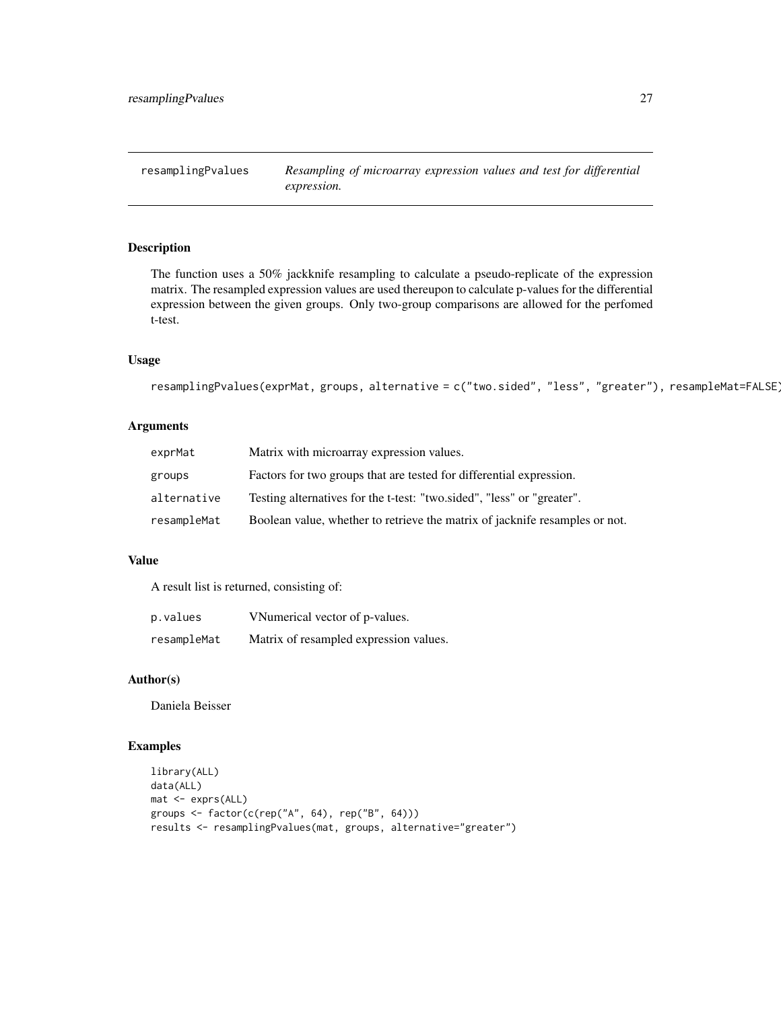<span id="page-26-0"></span>resamplingPvalues *Resampling of microarray expression values and test for differential expression.*

#### Description

The function uses a 50% jackknife resampling to calculate a pseudo-replicate of the expression matrix. The resampled expression values are used thereupon to calculate p-values for the differential expression between the given groups. Only two-group comparisons are allowed for the perfomed t-test.

#### Usage

```
resamplingPvalues(exprMat, groups, alternative = c("two.sided", "less", "greater"), resampleMat=FALSE)
```
### Arguments

| exprMat     | Matrix with microarray expression values.                                   |
|-------------|-----------------------------------------------------------------------------|
| groups      | Factors for two groups that are tested for differential expression.         |
| alternative | Testing alternatives for the t-test: "two.sided", "less" or "greater".      |
| resampleMat | Boolean value, whether to retrieve the matrix of jacknife resamples or not. |

### Value

A result list is returned, consisting of:

| p.values    | VNumerical vector of p-values.         |
|-------------|----------------------------------------|
| resampleMat | Matrix of resampled expression values. |

### Author(s)

Daniela Beisser

```
library(ALL)
data(ALL)
mat <- exprs(ALL)
groups <- factor(c(rep("A", 64), rep("B", 64)))
results <- resamplingPvalues(mat, groups, alternative="greater")
```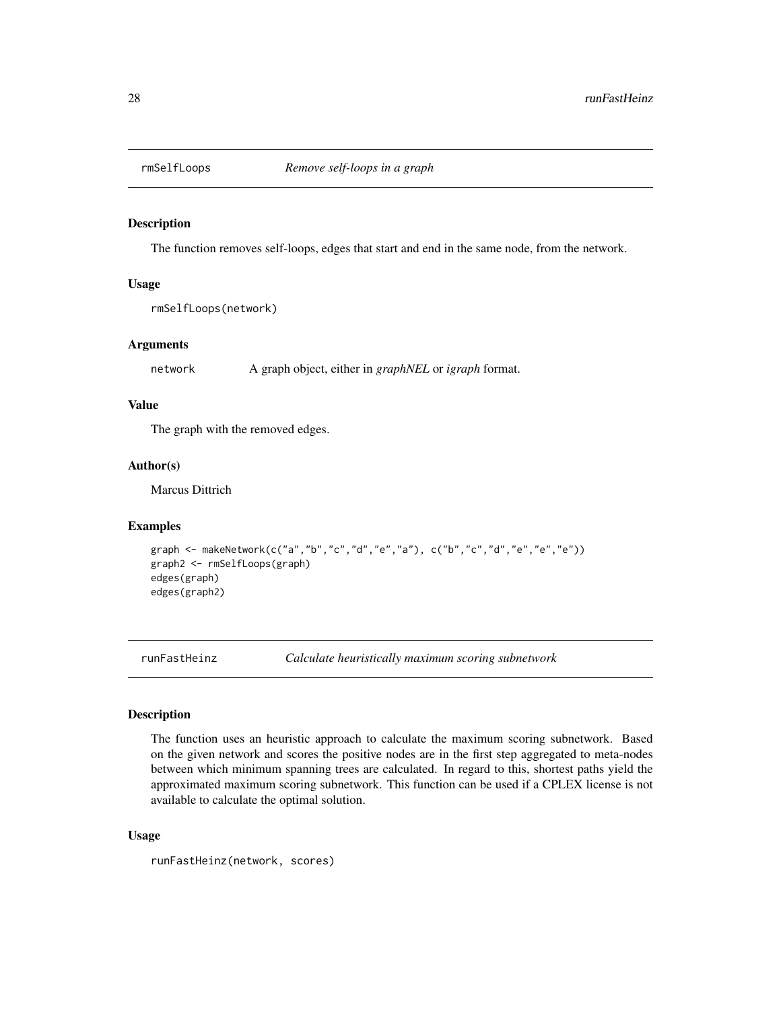<span id="page-27-0"></span>

The function removes self-loops, edges that start and end in the same node, from the network.

#### Usage

```
rmSelfLoops(network)
```
#### Arguments

network A graph object, either in *graphNEL* or *igraph* format.

### Value

The graph with the removed edges.

#### Author(s)

Marcus Dittrich

### Examples

```
graph <- makeNetwork(c("a","b","c","d","e","a"), c("b","c","d","e","e","e"))
graph2 <- rmSelfLoops(graph)
edges(graph)
edges(graph2)
```
runFastHeinz *Calculate heuristically maximum scoring subnetwork*

### Description

The function uses an heuristic approach to calculate the maximum scoring subnetwork. Based on the given network and scores the positive nodes are in the first step aggregated to meta-nodes between which minimum spanning trees are calculated. In regard to this, shortest paths yield the approximated maximum scoring subnetwork. This function can be used if a CPLEX license is not available to calculate the optimal solution.

#### Usage

```
runFastHeinz(network, scores)
```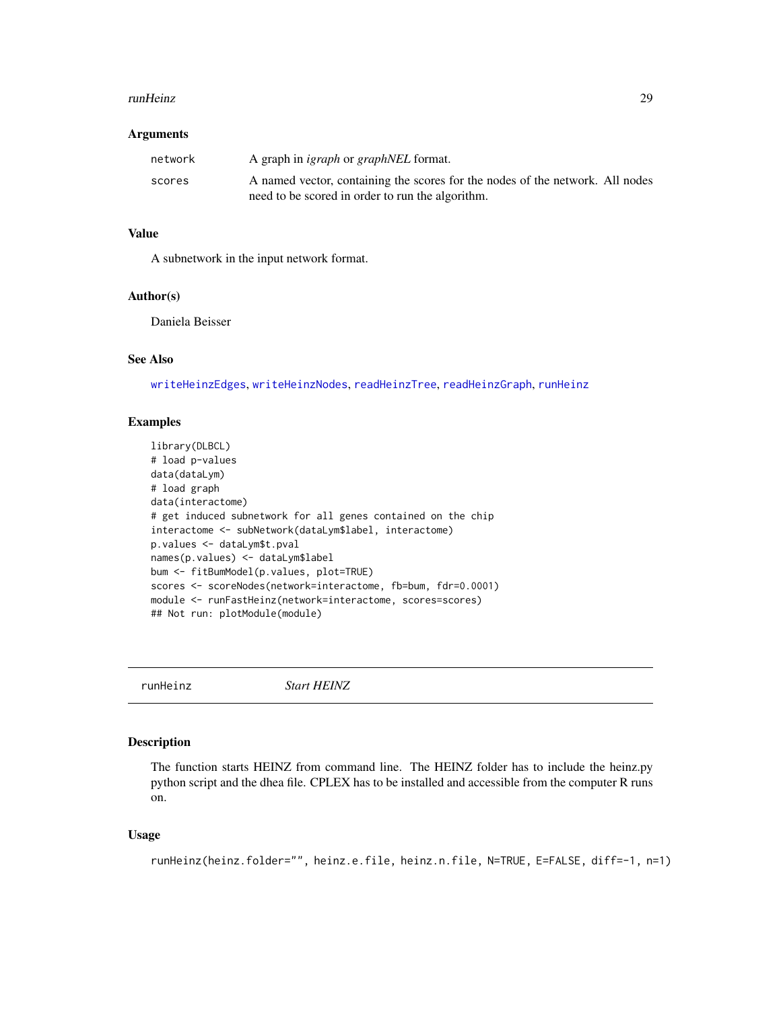#### <span id="page-28-0"></span>runHeinz 29

#### Arguments

| network | A graph in <i>igraph</i> or <i>graphNEL</i> format.                           |
|---------|-------------------------------------------------------------------------------|
| scores  | A named vector, containing the scores for the nodes of the network. All nodes |
|         | need to be scored in order to run the algorithm.                              |

### Value

A subnetwork in the input network format.

#### Author(s)

Daniela Beisser

### See Also

[writeHeinzEdges](#page-38-1), [writeHeinzNodes](#page-39-1), [readHeinzTree](#page-25-1), [readHeinzGraph](#page-24-1), [runHeinz](#page-28-1)

#### Examples

```
library(DLBCL)
# load p-values
data(dataLym)
# load graph
data(interactome)
# get induced subnetwork for all genes contained on the chip
interactome <- subNetwork(dataLym$label, interactome)
p.values <- dataLym$t.pval
names(p.values) <- dataLym$label
bum <- fitBumModel(p.values, plot=TRUE)
scores <- scoreNodes(network=interactome, fb=bum, fdr=0.0001)
module <- runFastHeinz(network=interactome, scores=scores)
## Not run: plotModule(module)
```
<span id="page-28-1"></span>

runHeinz *Start HEINZ*

### Description

The function starts HEINZ from command line. The HEINZ folder has to include the heinz.py python script and the dhea file. CPLEX has to be installed and accessible from the computer R runs on.

### Usage

```
runHeinz(heinz.folder="", heinz.e.file, heinz.n.file, N=TRUE, E=FALSE, diff=-1, n=1)
```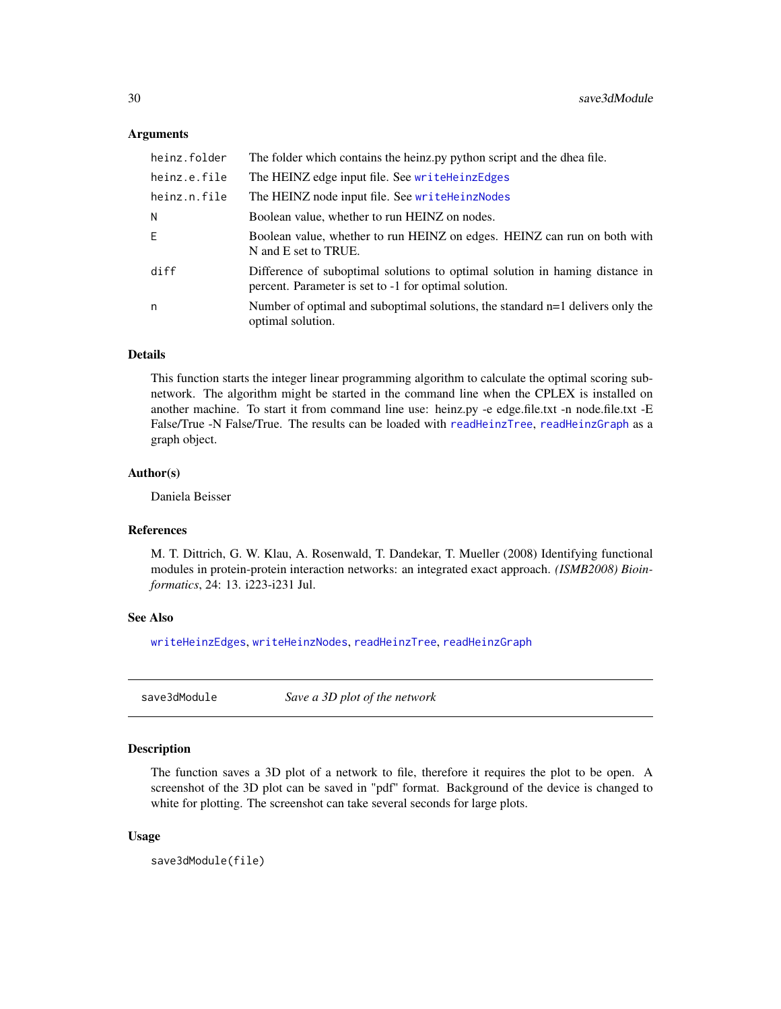#### Arguments

| heinz.folder | The folder which contains the heinz.py python script and the dhea file.                                                               |
|--------------|---------------------------------------------------------------------------------------------------------------------------------------|
| heinz.e.file | The HEINZ edge input file. See writeHeinzEdges                                                                                        |
| heinz.n.file | The HEINZ node input file. See writeHeinzNodes                                                                                        |
| N            | Boolean value, whether to run HEINZ on nodes.                                                                                         |
| E.           | Boolean value, whether to run HEINZ on edges. HEINZ can run on both with<br>N and E set to TRUE.                                      |
| diff         | Difference of suboptimal solutions to optimal solution in haming distance in<br>percent. Parameter is set to -1 for optimal solution. |
| n            | Number of optimal and suboptimal solutions, the standard $n=1$ delivers only the<br>optimal solution.                                 |

#### Details

This function starts the integer linear programming algorithm to calculate the optimal scoring subnetwork. The algorithm might be started in the command line when the CPLEX is installed on another machine. To start it from command line use: heinz.py -e edge.file.txt -n node.file.txt -E False/True -N False/True. The results can be loaded with [readHeinzTree](#page-25-1), [readHeinzGraph](#page-24-1) as a graph object.

#### Author(s)

Daniela Beisser

#### References

M. T. Dittrich, G. W. Klau, A. Rosenwald, T. Dandekar, T. Mueller (2008) Identifying functional modules in protein-protein interaction networks: an integrated exact approach. *(ISMB2008) Bioinformatics*, 24: 13. i223-i231 Jul.

#### See Also

[writeHeinzEdges](#page-38-1), [writeHeinzNodes](#page-39-1), [readHeinzTree](#page-25-1), [readHeinzGraph](#page-24-1)

<span id="page-29-1"></span>save3dModule *Save a 3D plot of the network*

### Description

The function saves a 3D plot of a network to file, therefore it requires the plot to be open. A screenshot of the 3D plot can be saved in "pdf" format. Background of the device is changed to white for plotting. The screenshot can take several seconds for large plots.

#### Usage

save3dModule(file)

<span id="page-29-0"></span>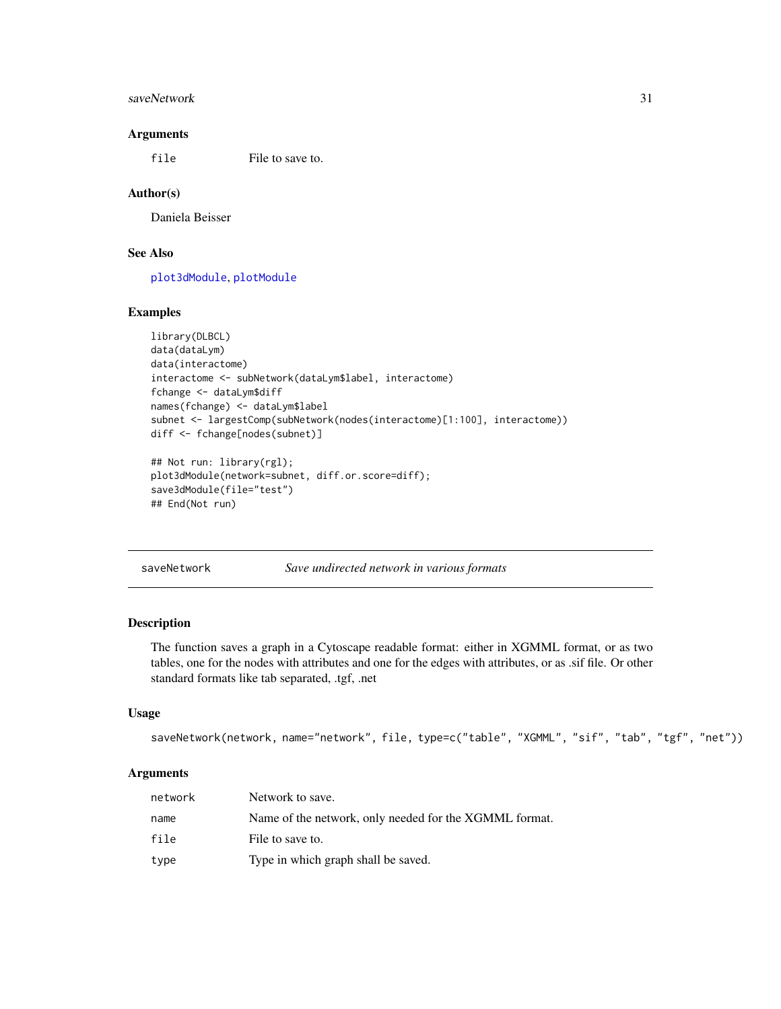#### <span id="page-30-0"></span>saveNetwork 31

#### Arguments

file File to save to.

#### Author(s)

Daniela Beisser

### See Also

[plot3dModule](#page-19-1), [plotModule](#page-21-1)

#### Examples

```
library(DLBCL)
data(dataLym)
data(interactome)
interactome <- subNetwork(dataLym$label, interactome)
fchange <- dataLym$diff
names(fchange) <- dataLym$label
subnet <- largestComp(subNetwork(nodes(interactome)[1:100], interactome))
diff <- fchange[nodes(subnet)]
## Not run: library(rgl);
plot3dModule(network=subnet, diff.or.score=diff);
```

```
save3dModule(file="test")
## End(Not run)
```
<span id="page-30-1"></span>saveNetwork *Save undirected network in various formats*

### Description

The function saves a graph in a Cytoscape readable format: either in XGMML format, or as two tables, one for the nodes with attributes and one for the edges with attributes, or as .sif file. Or other standard formats like tab separated, .tgf, .net

#### Usage

```
saveNetwork(network, name="network", file, type=c("table", "XGMML", "sif", "tab", "tgf", "net"))
```

| network | Network to save.                                       |
|---------|--------------------------------------------------------|
| name    | Name of the network, only needed for the XGMML format. |
| file    | File to save to.                                       |
| type    | Type in which graph shall be saved.                    |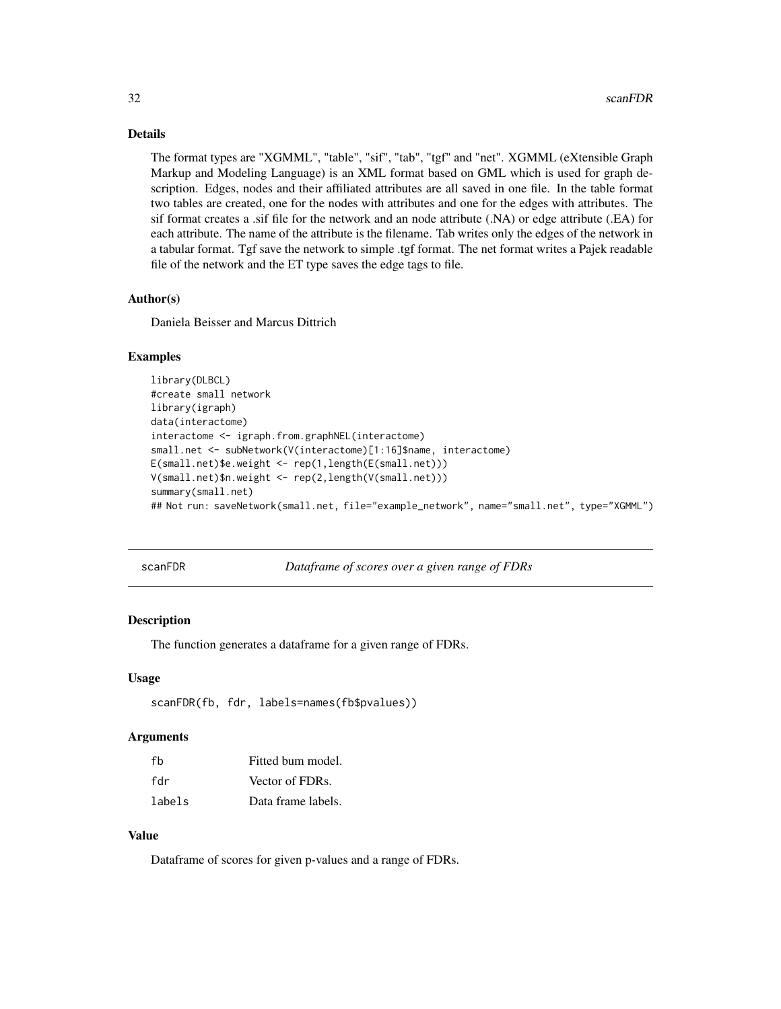### <span id="page-31-0"></span>Details

The format types are "XGMML", "table", "sif", "tab", "tgf" and "net". XGMML (eXtensible Graph Markup and Modeling Language) is an XML format based on GML which is used for graph description. Edges, nodes and their affiliated attributes are all saved in one file. In the table format two tables are created, one for the nodes with attributes and one for the edges with attributes. The sif format creates a .sif file for the network and an node attribute (.NA) or edge attribute (.EA) for each attribute. The name of the attribute is the filename. Tab writes only the edges of the network in a tabular format. Tgf save the network to simple .tgf format. The net format writes a Pajek readable file of the network and the ET type saves the edge tags to file.

#### Author(s)

Daniela Beisser and Marcus Dittrich

### Examples

```
library(DLBCL)
#create small network
library(igraph)
data(interactome)
interactome <- igraph.from.graphNEL(interactome)
small.net <- subNetwork(V(interactome)[1:16]$name, interactome)
E(small.net)$e.weight <- rep(1,length(E(small.net)))
V(small.net)$n.weight <- rep(2,length(V(small.net)))
summary(small.net)
## Not run: saveNetwork(small.net, file="example_network", name="small.net", type="XGMML")
```
scanFDR *Dataframe of scores over a given range of FDRs*

#### **Description**

The function generates a dataframe for a given range of FDRs.

#### Usage

```
scanFDR(fb, fdr, labels=names(fb$pvalues))
```
#### Arguments

| fh     | Fitted bum model.  |
|--------|--------------------|
| fdr    | Vector of FDRs.    |
| labels | Data frame labels. |

### Value

Dataframe of scores for given p-values and a range of FDRs.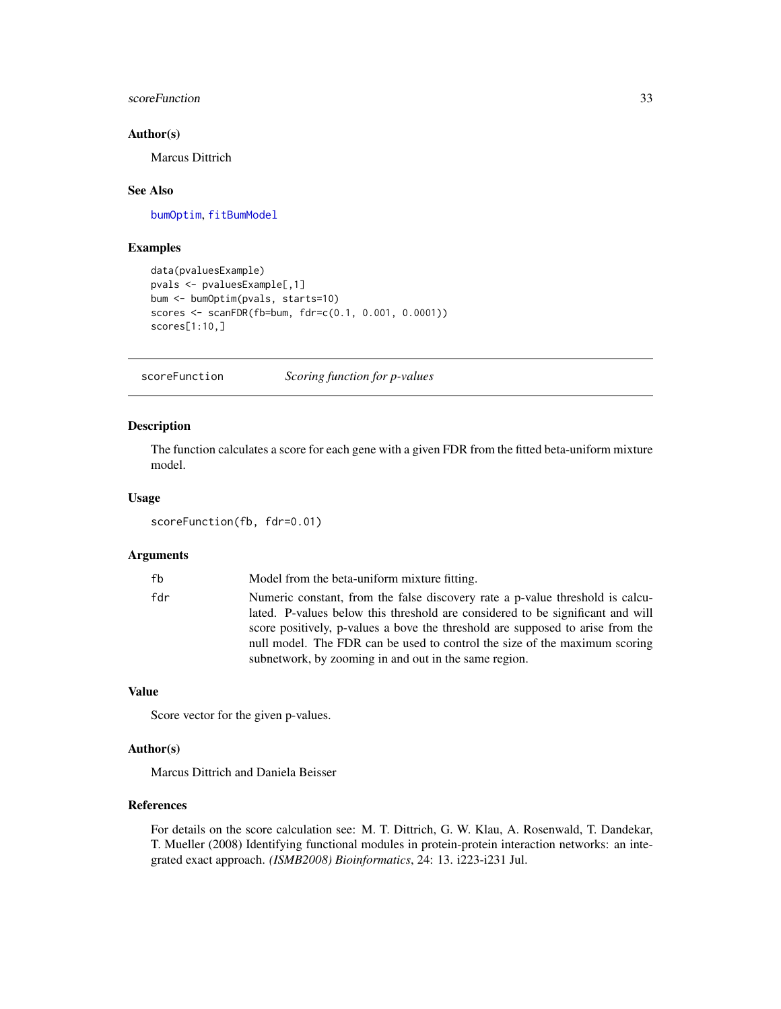### <span id="page-32-0"></span>scoreFunction 33

### Author(s)

Marcus Dittrich

#### See Also

[bumOptim](#page-3-1), [fitBumModel](#page-9-1)

#### Examples

```
data(pvaluesExample)
pvals <- pvaluesExample[,1]
bum <- bumOptim(pvals, starts=10)
scores <- scanFDR(fb=bum, fdr=c(0.1, 0.001, 0.0001))
scores[1:10,]
```
<span id="page-32-1"></span>scoreFunction *Scoring function for p-values*

#### Description

The function calculates a score for each gene with a given FDR from the fitted beta-uniform mixture model.

#### Usage

```
scoreFunction(fb, fdr=0.01)
```
#### Arguments

| fb  | Model from the beta-uniform mixture fitting.                                                                                                                     |
|-----|------------------------------------------------------------------------------------------------------------------------------------------------------------------|
| fdr | Numeric constant, from the false discovery rate a p-value threshold is calcu-                                                                                    |
|     | lated. P-values below this threshold are considered to be significant and will<br>score positively, p-values a bove the threshold are supposed to arise from the |
|     | null model. The FDR can be used to control the size of the maximum scoring                                                                                       |
|     | subnetwork, by zooming in and out in the same region.                                                                                                            |

#### Value

Score vector for the given p-values.

### Author(s)

Marcus Dittrich and Daniela Beisser

#### References

For details on the score calculation see: M. T. Dittrich, G. W. Klau, A. Rosenwald, T. Dandekar, T. Mueller (2008) Identifying functional modules in protein-protein interaction networks: an integrated exact approach. *(ISMB2008) Bioinformatics*, 24: 13. i223-i231 Jul.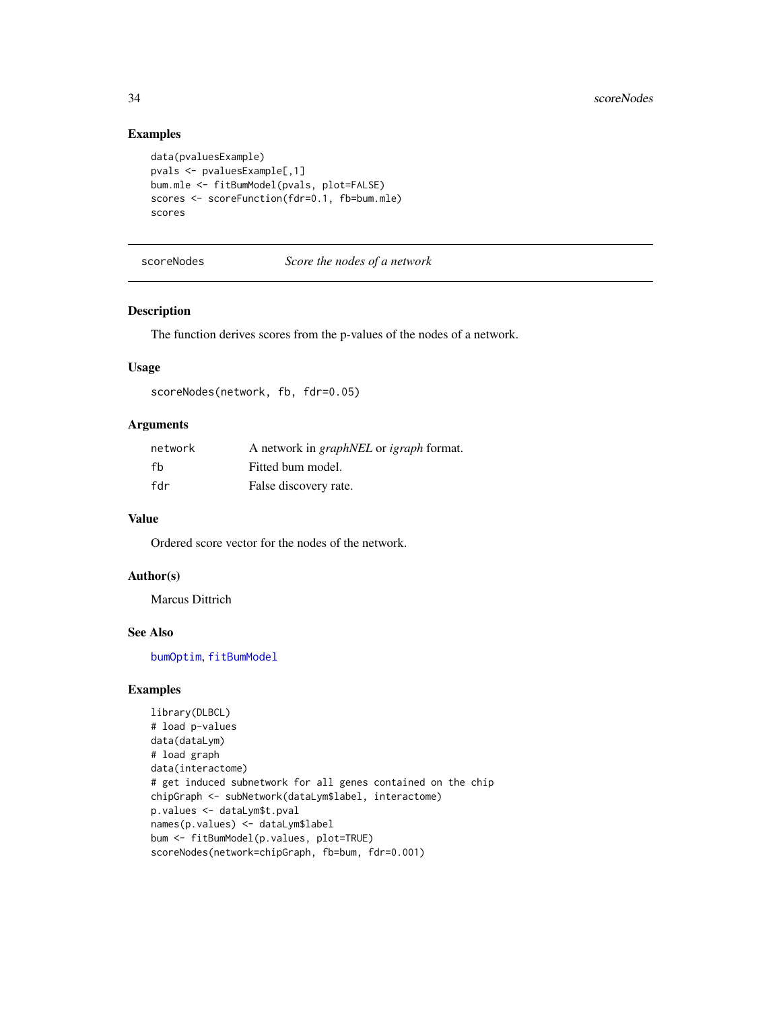### Examples

```
data(pvaluesExample)
pvals <- pvaluesExample[,1]
bum.mle <- fitBumModel(pvals, plot=FALSE)
scores <- scoreFunction(fdr=0.1, fb=bum.mle)
scores
```
#### <span id="page-33-1"></span>scoreNodes *Score the nodes of a network*

#### Description

The function derives scores from the p-values of the nodes of a network.

#### Usage

scoreNodes(network, fb, fdr=0.05)

#### Arguments

| network | A network in <i>graphNEL</i> or <i>igraph</i> format. |
|---------|-------------------------------------------------------|
| fh      | Fitted bum model.                                     |
| fdr     | False discovery rate.                                 |

### Value

Ordered score vector for the nodes of the network.

### Author(s)

Marcus Dittrich

#### See Also

[bumOptim](#page-3-1), [fitBumModel](#page-9-1)

```
library(DLBCL)
# load p-values
data(dataLym)
# load graph
data(interactome)
# get induced subnetwork for all genes contained on the chip
chipGraph <- subNetwork(dataLym$label, interactome)
p.values <- dataLym$t.pval
names(p.values) <- dataLym$label
bum <- fitBumModel(p.values, plot=TRUE)
scoreNodes(network=chipGraph, fb=bum, fdr=0.001)
```
<span id="page-33-0"></span>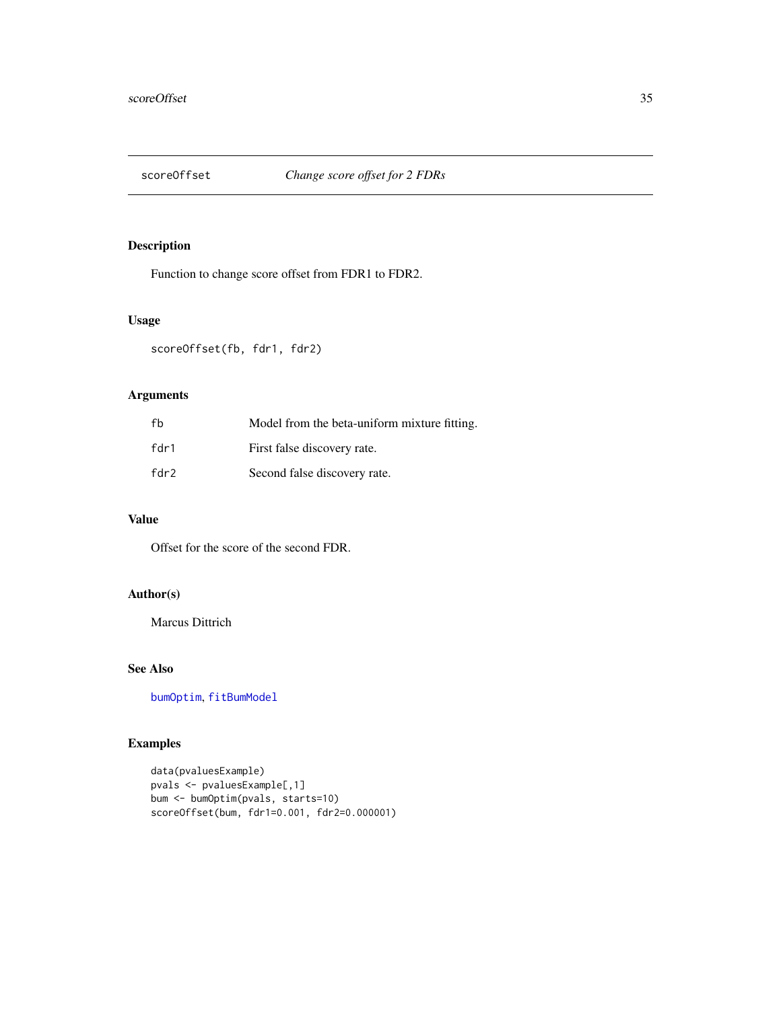<span id="page-34-0"></span>

Function to change score offset from FDR1 to FDR2.

### Usage

scoreOffset(fb, fdr1, fdr2)

#### Arguments

| fh   | Model from the beta-uniform mixture fitting. |
|------|----------------------------------------------|
| fdr1 | First false discovery rate.                  |
| fdr2 | Second false discovery rate.                 |

### Value

Offset for the score of the second FDR.

### Author(s)

Marcus Dittrich

### See Also

[bumOptim](#page-3-1), [fitBumModel](#page-9-1)

```
data(pvaluesExample)
pvals <- pvaluesExample[,1]
bum <- bumOptim(pvals, starts=10)
scoreOffset(bum, fdr1=0.001, fdr2=0.000001)
```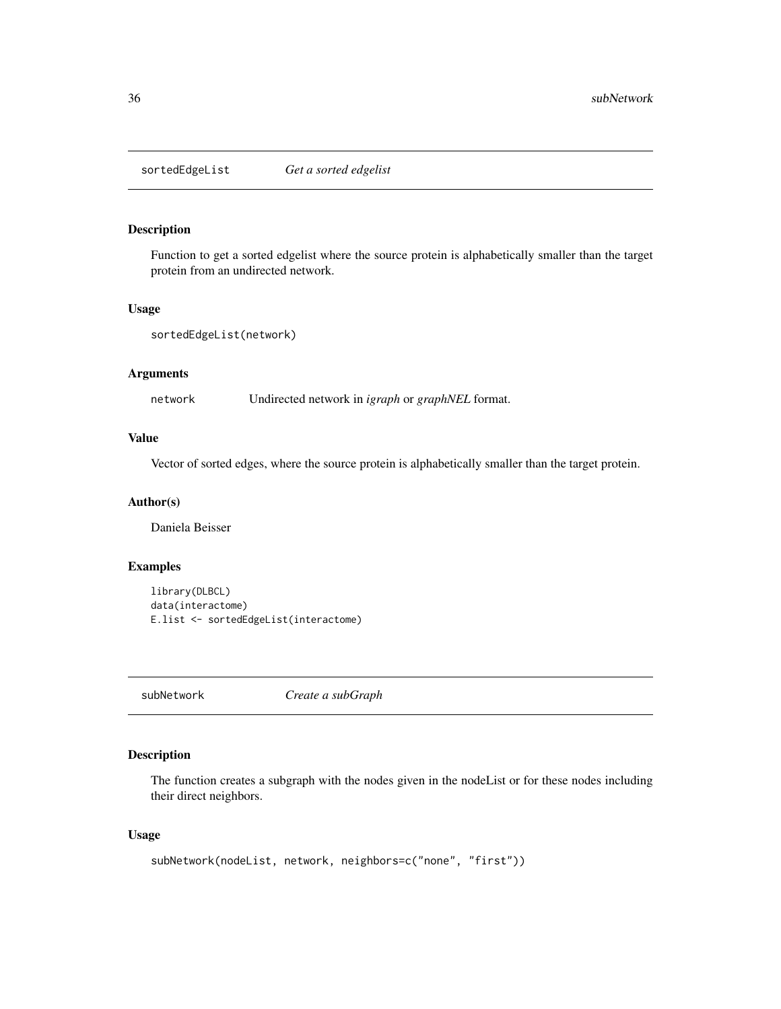<span id="page-35-0"></span>sortedEdgeList *Get a sorted edgelist*

### Description

Function to get a sorted edgelist where the source protein is alphabetically smaller than the target protein from an undirected network.

#### Usage

```
sortedEdgeList(network)
```
### Arguments

network Undirected network in *igraph* or *graphNEL* format.

### Value

Vector of sorted edges, where the source protein is alphabetically smaller than the target protein.

### Author(s)

Daniela Beisser

### Examples

```
library(DLBCL)
data(interactome)
E.list <- sortedEdgeList(interactome)
```
<span id="page-35-1"></span>subNetwork *Create a subGraph*

### Description

The function creates a subgraph with the nodes given in the nodeList or for these nodes including their direct neighbors.

### Usage

```
subNetwork(nodeList, network, neighbors=c("none", "first"))
```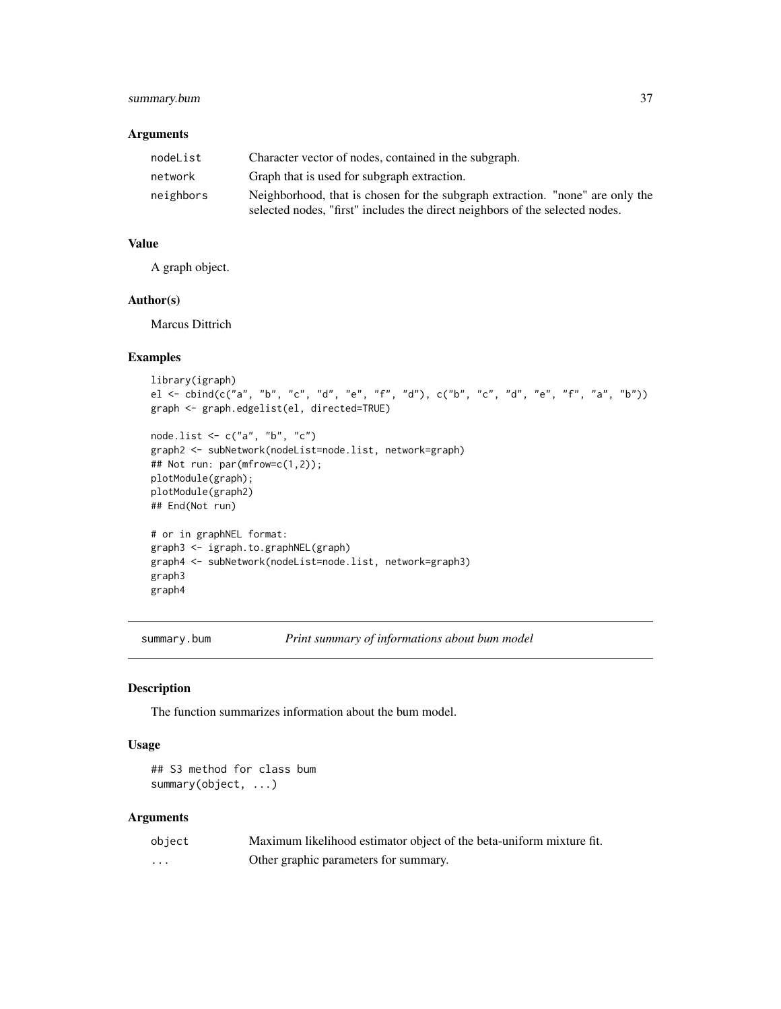### <span id="page-36-0"></span>summary.bum 37

### Arguments

| nodeList  | Character vector of nodes, contained in the subgraph.                         |
|-----------|-------------------------------------------------------------------------------|
| network   | Graph that is used for subgraph extraction.                                   |
| neighbors | Neighborhood, that is chosen for the subgraph extraction. "none" are only the |
|           | selected nodes, "first" includes the direct neighbors of the selected nodes.  |

### Value

A graph object.

### Author(s)

Marcus Dittrich

### Examples

```
library(igraph)
el <- cbind(c("a", "b", "c", "d", "e", "f", "d"), c("b", "c", "d", "e", "f", "a", "b"))
graph <- graph.edgelist(el, directed=TRUE)
```

```
node.list \leq c("a", "b", "c")
graph2 <- subNetwork(nodeList=node.list, network=graph)
## Not run: par(mfrow=c(1,2));
plotModule(graph);
plotModule(graph2)
## End(Not run)
# or in graphNEL format:
graph3 <- igraph.to.graphNEL(graph)
graph4 <- subNetwork(nodeList=node.list, network=graph3)
graph3
graph4
```
<span id="page-36-1"></span>summary.bum *Print summary of informations about bum model*

#### Description

The function summarizes information about the bum model.

#### Usage

## S3 method for class bum summary(object, ...)

| object   | Maximum likelihood estimator object of the beta-uniform mixture fit. |
|----------|----------------------------------------------------------------------|
| $\cdots$ | Other graphic parameters for summary.                                |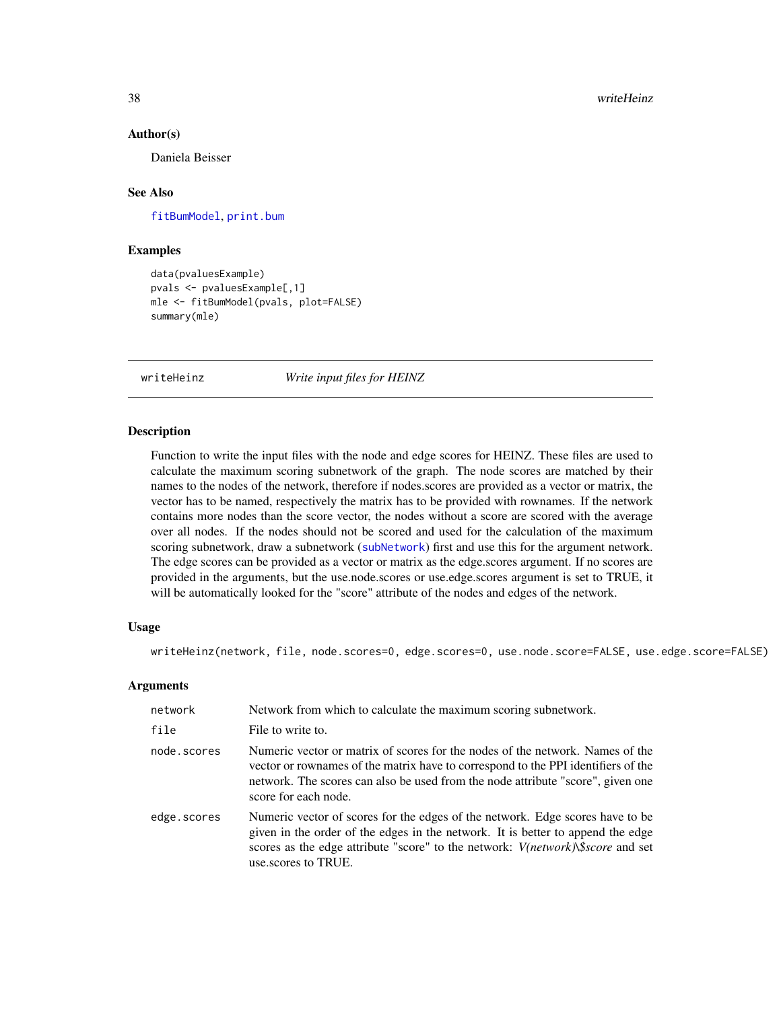#### Author(s)

Daniela Beisser

#### See Also

[fitBumModel](#page-9-1), [print.bum](#page-22-1)

### Examples

```
data(pvaluesExample)
pvals <- pvaluesExample[,1]
mle <- fitBumModel(pvals, plot=FALSE)
summary(mle)
```
<span id="page-37-1"></span>writeHeinz *Write input files for HEINZ*

#### Description

Function to write the input files with the node and edge scores for HEINZ. These files are used to calculate the maximum scoring subnetwork of the graph. The node scores are matched by their names to the nodes of the network, therefore if nodes.scores are provided as a vector or matrix, the vector has to be named, respectively the matrix has to be provided with rownames. If the network contains more nodes than the score vector, the nodes without a score are scored with the average over all nodes. If the nodes should not be scored and used for the calculation of the maximum scoring subnetwork, draw a subnetwork ([subNetwork](#page-35-1)) first and use this for the argument network. The edge scores can be provided as a vector or matrix as the edge.scores argument. If no scores are provided in the arguments, but the use.node.scores or use.edge.scores argument is set to TRUE, it will be automatically looked for the "score" attribute of the nodes and edges of the network.

#### Usage

writeHeinz(network, file, node.scores=0, edge.scores=0, use.node.score=FALSE, use.edge.score=FALSE)

| network     | Network from which to calculate the maximum scoring subnetwork.                                                                                                                                                                                                                   |
|-------------|-----------------------------------------------------------------------------------------------------------------------------------------------------------------------------------------------------------------------------------------------------------------------------------|
| file        | File to write to.                                                                                                                                                                                                                                                                 |
| node.scores | Numeric vector or matrix of scores for the nodes of the network. Names of the<br>vector or rownames of the matrix have to correspond to the PPI identifiers of the<br>network. The scores can also be used from the node attribute "score", given one<br>score for each node.     |
| edge.scores | Numeric vector of scores for the edges of the network. Edge scores have to be<br>given in the order of the edges in the network. It is better to append the edge<br>scores as the edge attribute "score" to the network: <i>V(network)\\$score</i> and set<br>use scores to TRUE. |

<span id="page-37-0"></span>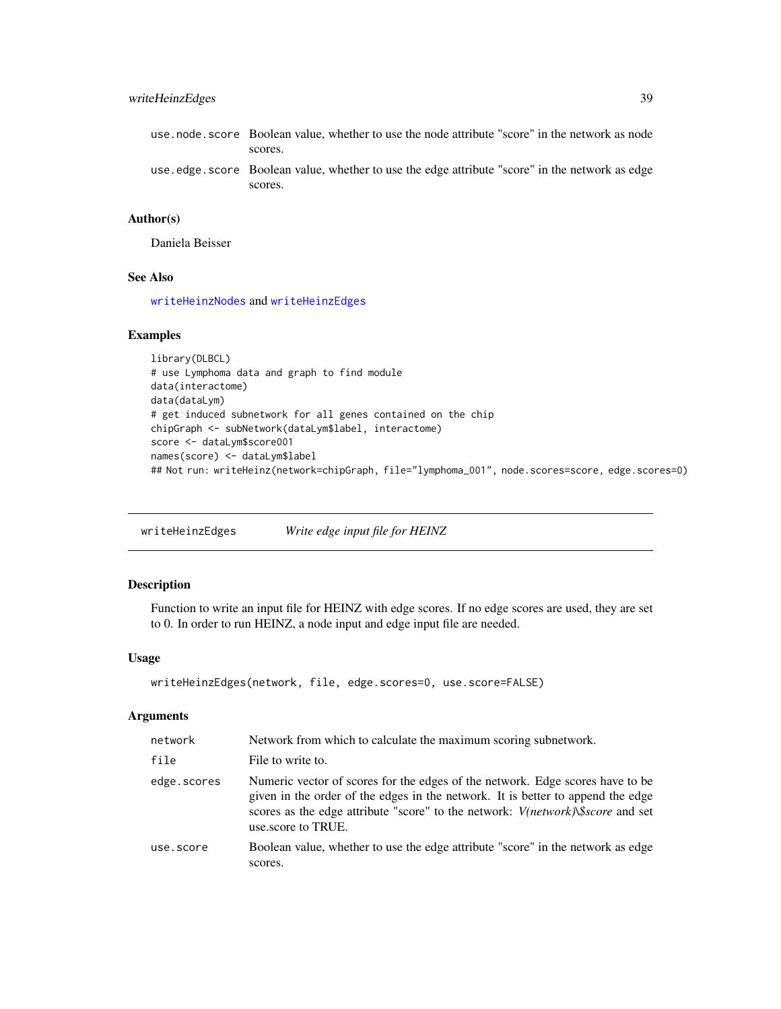### <span id="page-38-0"></span>writeHeinzEdges 39

| use, node, score Boolean value, whether to use the node attribute "score" in the network as node            |
|-------------------------------------------------------------------------------------------------------------|
| scores.                                                                                                     |
| use, edge, score Boolean value, whether to use the edge attribute "score" in the network as edge<br>scores. |

### Author(s)

Daniela Beisser

#### See Also

[writeHeinzNodes](#page-39-1) and [writeHeinzEdges](#page-38-1)

#### Examples

```
library(DLBCL)
# use Lymphoma data and graph to find module
data(interactome)
data(dataLym)
# get induced subnetwork for all genes contained on the chip
chipGraph <- subNetwork(dataLym$label, interactome)
score <- dataLym$score001
names(score) <- dataLym$label
## Not run: writeHeinz(network=chipGraph, file="lymphoma_001", node.scores=score, edge.scores=0)
```
<span id="page-38-1"></span>writeHeinzEdges *Write edge input file for HEINZ*

#### Description

Function to write an input file for HEINZ with edge scores. If no edge scores are used, they are set to 0. In order to run HEINZ, a node input and edge input file are needed.

### Usage

```
writeHeinzEdges(network, file, edge.scores=0, use.score=FALSE)
```

| network     | Network from which to calculate the maximum scoring subnetwork.                                                                                                                                                                                                           |
|-------------|---------------------------------------------------------------------------------------------------------------------------------------------------------------------------------------------------------------------------------------------------------------------------|
| file        | File to write to.                                                                                                                                                                                                                                                         |
| edge.scores | Numeric vector of scores for the edges of the network. Edge scores have to be<br>given in the order of the edges in the network. It is better to append the edge<br>scores as the edge attribute "score" to the network: V(network)\\$score and set<br>use score to TRUE. |
| use.score   | Boolean value, whether to use the edge attribute "score" in the network as edge<br>scores.                                                                                                                                                                                |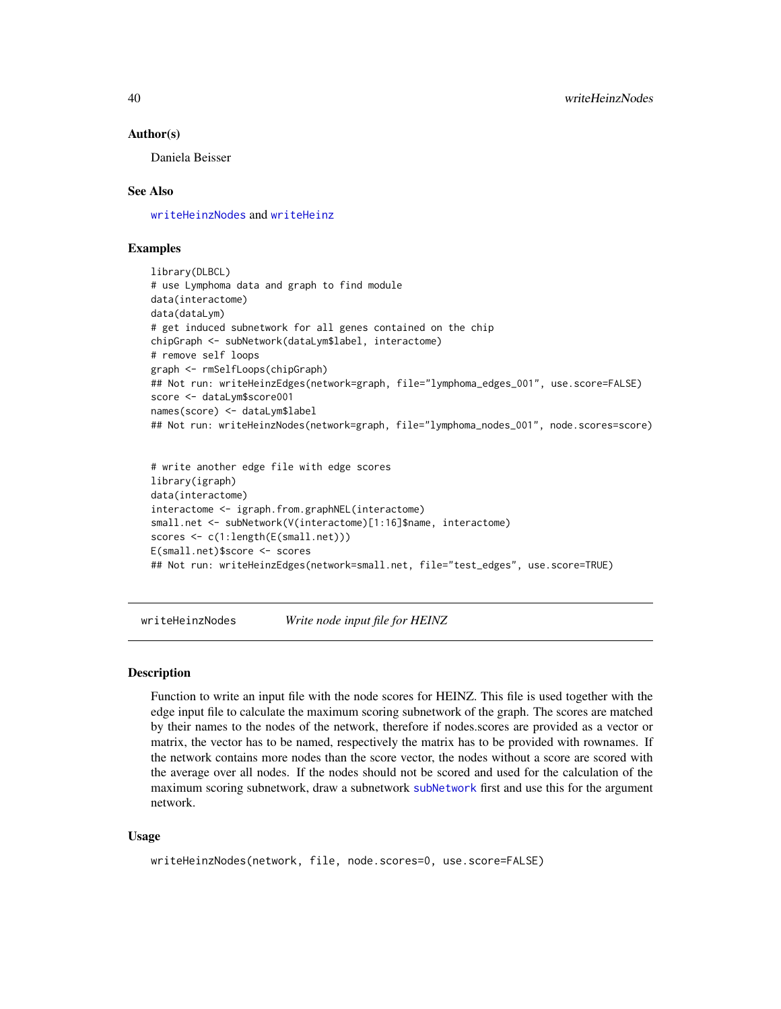#### Author(s)

Daniela Beisser

### See Also

[writeHeinzNodes](#page-39-1) and [writeHeinz](#page-37-1)

### Examples

```
library(DLBCL)
# use Lymphoma data and graph to find module
data(interactome)
data(dataLym)
# get induced subnetwork for all genes contained on the chip
chipGraph <- subNetwork(dataLym$label, interactome)
# remove self loops
graph <- rmSelfLoops(chipGraph)
## Not run: writeHeinzEdges(network=graph, file="lymphoma_edges_001", use.score=FALSE)
score <- dataLym$score001
names(score) <- dataLym$label
## Not run: writeHeinzNodes(network=graph, file="lymphoma_nodes_001", node.scores=score)
```

```
# write another edge file with edge scores
library(igraph)
data(interactome)
interactome <- igraph.from.graphNEL(interactome)
small.net <- subNetwork(V(interactome)[1:16]$name, interactome)
scores <- c(1:length(E(small.net)))
E(small.net)$score <- scores
## Not run: writeHeinzEdges(network=small.net, file="test_edges", use.score=TRUE)
```
<span id="page-39-1"></span>writeHeinzNodes *Write node input file for HEINZ*

#### Description

Function to write an input file with the node scores for HEINZ. This file is used together with the edge input file to calculate the maximum scoring subnetwork of the graph. The scores are matched by their names to the nodes of the network, therefore if nodes.scores are provided as a vector or matrix, the vector has to be named, respectively the matrix has to be provided with rownames. If the network contains more nodes than the score vector, the nodes without a score are scored with the average over all nodes. If the nodes should not be scored and used for the calculation of the maximum scoring subnetwork, draw a subnetwork [subNetwork](#page-35-1) first and use this for the argument network.

#### Usage

```
writeHeinzNodes(network, file, node.scores=0, use.score=FALSE)
```
<span id="page-39-0"></span>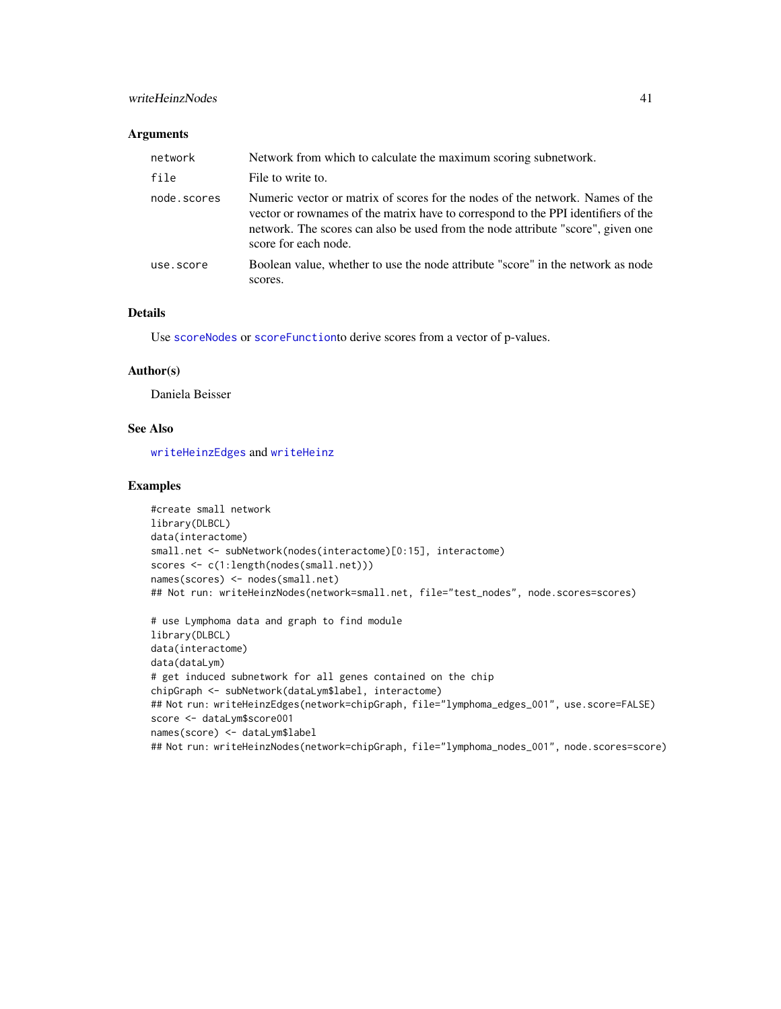#### writeHeinzNodes 41

#### Arguments

| network     | Network from which to calculate the maximum scoring subnetwork.                                                                                                                                                                                                               |
|-------------|-------------------------------------------------------------------------------------------------------------------------------------------------------------------------------------------------------------------------------------------------------------------------------|
| file        | File to write to.                                                                                                                                                                                                                                                             |
| node.scores | Numeric vector or matrix of scores for the nodes of the network. Names of the<br>vector or rownames of the matrix have to correspond to the PPI identifiers of the<br>network. The scores can also be used from the node attribute "score", given one<br>score for each node. |
| use.score   | Boolean value, whether to use the node attribute "score" in the network as node<br>scores.                                                                                                                                                                                    |

#### Details

Use [scoreNodes](#page-33-1) or [scoreFunction](#page-32-1)to derive scores from a vector of p-values.

#### Author(s)

Daniela Beisser

### See Also

[writeHeinzEdges](#page-38-1) and [writeHeinz](#page-37-1)

```
#create small network
library(DLBCL)
data(interactome)
small.net <- subNetwork(nodes(interactome)[0:15], interactome)
scores <- c(1:length(nodes(small.net)))
names(scores) <- nodes(small.net)
## Not run: writeHeinzNodes(network=small.net, file="test_nodes", node.scores=scores)
# use Lymphoma data and graph to find module
library(DLBCL)
data(interactome)
data(dataLym)
# get induced subnetwork for all genes contained on the chip
chipGraph <- subNetwork(dataLym$label, interactome)
## Not run: writeHeinzEdges(network=chipGraph, file="lymphoma_edges_001", use.score=FALSE)
score <- dataLym$score001
names(score) <- dataLym$label
## Not run: writeHeinzNodes(network=chipGraph, file="lymphoma_nodes_001", node.scores=score)
```